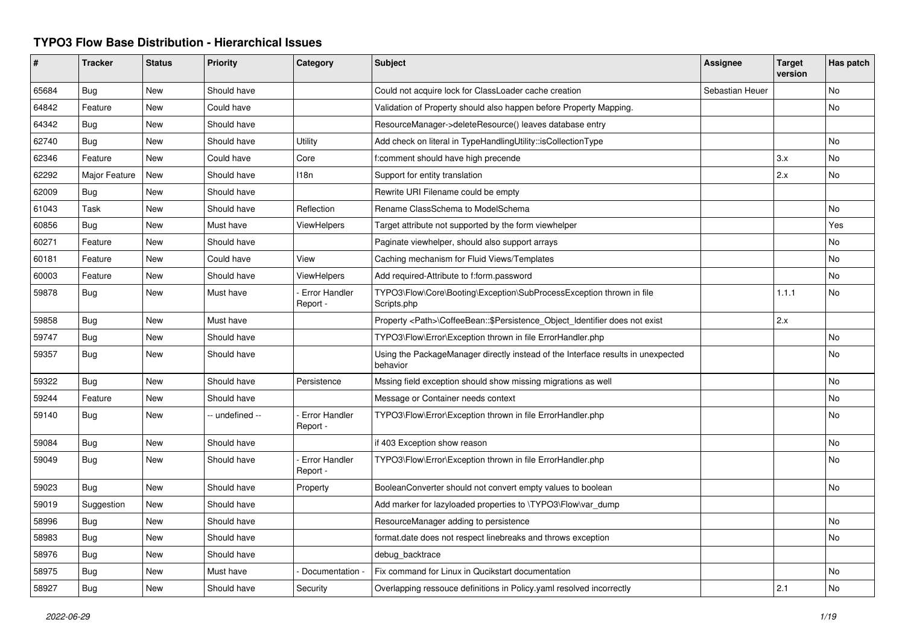## **TYPO3 Flow Base Distribution - Hierarchical Issues**

| #     | <b>Tracker</b> | <b>Status</b> | <b>Priority</b> | Category                         | Subject                                                                                      | <b>Assignee</b> | <b>Target</b><br>version | Has patch |
|-------|----------------|---------------|-----------------|----------------------------------|----------------------------------------------------------------------------------------------|-----------------|--------------------------|-----------|
| 65684 | Bug            | <b>New</b>    | Should have     |                                  | Could not acquire lock for ClassLoader cache creation                                        | Sebastian Heuer |                          | No        |
| 64842 | Feature        | New           | Could have      |                                  | Validation of Property should also happen before Property Mapping.                           |                 |                          | No        |
| 64342 | Bug            | New           | Should have     |                                  | ResourceManager->deleteResource() leaves database entry                                      |                 |                          |           |
| 62740 | <b>Bug</b>     | New           | Should have     | Utility                          | Add check on literal in TypeHandlingUtility::isCollectionType                                |                 |                          | No        |
| 62346 | Feature        | <b>New</b>    | Could have      | Core                             | f:comment should have high precende                                                          |                 | 3.x                      | No        |
| 62292 | Major Feature  | New           | Should have     | 118n                             | Support for entity translation                                                               |                 | 2.x                      | No        |
| 62009 | <b>Bug</b>     | <b>New</b>    | Should have     |                                  | Rewrite URI Filename could be empty                                                          |                 |                          |           |
| 61043 | Task           | <b>New</b>    | Should have     | Reflection                       | Rename ClassSchema to ModelSchema                                                            |                 |                          | No        |
| 60856 | <b>Bug</b>     | New           | Must have       | <b>ViewHelpers</b>               | Target attribute not supported by the form viewhelper                                        |                 |                          | Yes       |
| 60271 | Feature        | New           | Should have     |                                  | Paginate viewhelper, should also support arrays                                              |                 |                          | No        |
| 60181 | Feature        | New           | Could have      | View                             | Caching mechanism for Fluid Views/Templates                                                  |                 |                          | No        |
| 60003 | Feature        | New           | Should have     | ViewHelpers                      | Add required-Attribute to f:form.password                                                    |                 |                          | No        |
| 59878 | Bug            | New           | Must have       | <b>Error Handler</b><br>Report - | TYPO3\Flow\Core\Booting\Exception\SubProcessException thrown in file<br>Scripts.php          |                 | 1.1.1                    | No        |
| 59858 | <b>Bug</b>     | <b>New</b>    | Must have       |                                  | Property <path>\CoffeeBean::\$Persistence_Object_Identifier does not exist</path>            |                 | 2.x                      |           |
| 59747 | Bug            | New           | Should have     |                                  | TYPO3\Flow\Error\Exception thrown in file ErrorHandler.php                                   |                 |                          | No        |
| 59357 | Bug            | New           | Should have     |                                  | Using the PackageManager directly instead of the Interface results in unexpected<br>behavior |                 |                          | No        |
| 59322 | Bug            | New           | Should have     | Persistence                      | Mssing field exception should show missing migrations as well                                |                 |                          | No        |
| 59244 | Feature        | <b>New</b>    | Should have     |                                  | Message or Container needs context                                                           |                 |                          | No        |
| 59140 | Bug            | New           | -- undefined -- | <b>Error Handler</b><br>Report - | TYPO3\Flow\Error\Exception thrown in file ErrorHandler.php                                   |                 |                          | No        |
| 59084 | Bug            | <b>New</b>    | Should have     |                                  | if 403 Exception show reason                                                                 |                 |                          | No        |
| 59049 | Bug            | <b>New</b>    | Should have     | <b>Error Handler</b><br>Report - | TYPO3\Flow\Error\Exception thrown in file ErrorHandler.php                                   |                 |                          | No        |
| 59023 | Bug            | <b>New</b>    | Should have     | Property                         | BooleanConverter should not convert empty values to boolean                                  |                 |                          | No        |
| 59019 | Suggestion     | <b>New</b>    | Should have     |                                  | Add marker for lazyloaded properties to \TYPO3\Flow\var dump                                 |                 |                          |           |
| 58996 | Bug            | New           | Should have     |                                  | ResourceManager adding to persistence                                                        |                 |                          | No        |
| 58983 | Bug            | <b>New</b>    | Should have     |                                  | format.date does not respect linebreaks and throws exception                                 |                 |                          | No        |
| 58976 | Bug            | New           | Should have     |                                  | debug backtrace                                                                              |                 |                          |           |
| 58975 | <b>Bug</b>     | New           | Must have       | Documentation                    | Fix command for Linux in Qucikstart documentation                                            |                 |                          | No        |
| 58927 | Bug            | <b>New</b>    | Should have     | Security                         | Overlapping ressouce definitions in Policy yaml resolved incorrectly                         |                 | 2.1                      | No        |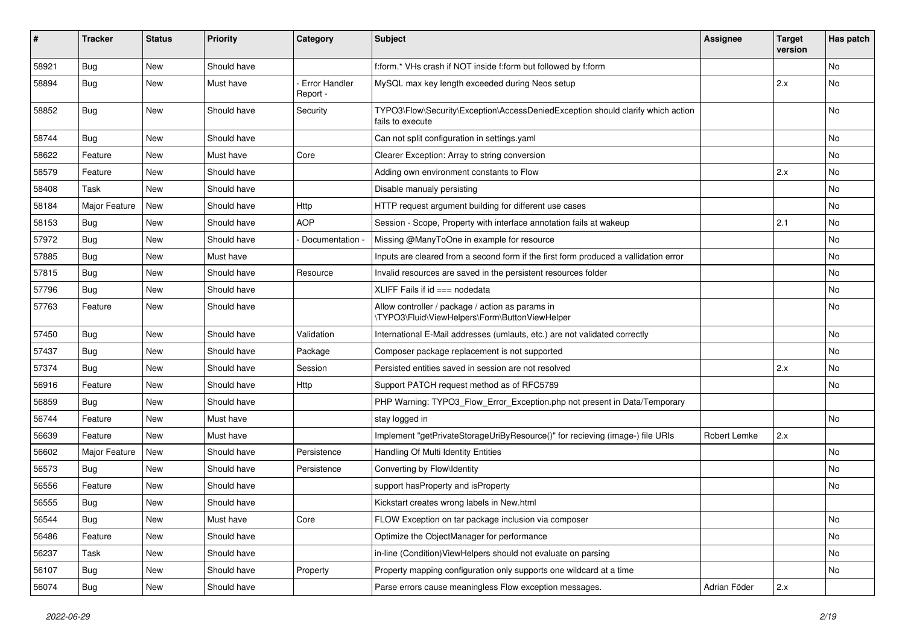| #     | <b>Tracker</b> | <b>Status</b> | <b>Priority</b> | Category                         | Subject                                                                                             | <b>Assignee</b> | <b>Target</b><br>version | Has patch |
|-------|----------------|---------------|-----------------|----------------------------------|-----------------------------------------------------------------------------------------------------|-----------------|--------------------------|-----------|
| 58921 | Bug            | New           | Should have     |                                  | f:form.* VHs crash if NOT inside f:form but followed by f:form                                      |                 |                          | No        |
| 58894 | <b>Bug</b>     | New           | Must have       | <b>Error Handler</b><br>Report - | MySQL max key length exceeded during Neos setup                                                     |                 | 2.x                      | No        |
| 58852 | <b>Bug</b>     | New           | Should have     | Security                         | TYPO3\Flow\Security\Exception\AccessDeniedException should clarify which action<br>fails to execute |                 |                          | <b>No</b> |
| 58744 | Bug            | New           | Should have     |                                  | Can not split configuration in settings.yaml                                                        |                 |                          | <b>No</b> |
| 58622 | Feature        | New           | Must have       | Core                             | Clearer Exception: Array to string conversion                                                       |                 |                          | No        |
| 58579 | Feature        | New           | Should have     |                                  | Adding own environment constants to Flow                                                            |                 | 2.x                      | No        |
| 58408 | Task           | New           | Should have     |                                  | Disable manualy persisting                                                                          |                 |                          | No        |
| 58184 | Major Feature  | New           | Should have     | Http                             | HTTP request argument building for different use cases                                              |                 |                          | No        |
| 58153 | Bug            | New           | Should have     | <b>AOP</b>                       | Session - Scope, Property with interface annotation fails at wakeup                                 |                 | 2.1                      | No        |
| 57972 | <b>Bug</b>     | New           | Should have     | Documentation                    | Missing @ManyToOne in example for resource                                                          |                 |                          | No        |
| 57885 | <b>Bug</b>     | New           | Must have       |                                  | Inputs are cleared from a second form if the first form produced a vallidation error                |                 |                          | No        |
| 57815 | Bug            | New           | Should have     | Resource                         | Invalid resources are saved in the persistent resources folder                                      |                 |                          | <b>No</b> |
| 57796 | <b>Bug</b>     | New           | Should have     |                                  | XLIFF Fails if $id ==$ nodedata                                                                     |                 |                          | No        |
| 57763 | Feature        | New           | Should have     |                                  | Allow controller / package / action as params in<br>\TYPO3\Fluid\ViewHelpers\Form\ButtonViewHelper  |                 |                          | No        |
| 57450 | Bug            | New           | Should have     | Validation                       | International E-Mail addresses (umlauts, etc.) are not validated correctly                          |                 |                          | <b>No</b> |
| 57437 | Bug            | New           | Should have     | Package                          | Composer package replacement is not supported                                                       |                 |                          | No        |
| 57374 | <b>Bug</b>     | New           | Should have     | Session                          | Persisted entities saved in session are not resolved                                                |                 | 2.x                      | No        |
| 56916 | Feature        | New           | Should have     | Http                             | Support PATCH request method as of RFC5789                                                          |                 |                          | No        |
| 56859 | <b>Bug</b>     | New           | Should have     |                                  | PHP Warning: TYPO3_Flow_Error_Exception.php not present in Data/Temporary                           |                 |                          |           |
| 56744 | Feature        | New           | Must have       |                                  | stay logged in                                                                                      |                 |                          | <b>No</b> |
| 56639 | Feature        | New           | Must have       |                                  | Implement "getPrivateStorageUriByResource()" for recieving (image-) file URIs                       | Robert Lemke    | 2.x                      |           |
| 56602 | Major Feature  | New           | Should have     | Persistence                      | Handling Of Multi Identity Entities                                                                 |                 |                          | No        |
| 56573 | <b>Bug</b>     | New           | Should have     | Persistence                      | Converting by Flow\Identity                                                                         |                 |                          | No        |
| 56556 | Feature        | New           | Should have     |                                  | support has Property and is Property                                                                |                 |                          | <b>No</b> |
| 56555 | Bug            | New           | Should have     |                                  | Kickstart creates wrong labels in New.html                                                          |                 |                          |           |
| 56544 | <b>Bug</b>     | New           | Must have       | Core                             | FLOW Exception on tar package inclusion via composer                                                |                 |                          | No        |
| 56486 | Feature        | New           | Should have     |                                  | Optimize the ObjectManager for performance                                                          |                 |                          | No        |
| 56237 | Task           | New           | Should have     |                                  | in-line (Condition) View Helpers should not evaluate on parsing                                     |                 |                          | No        |
| 56107 | Bug            | New           | Should have     | Property                         | Property mapping configuration only supports one wildcard at a time                                 |                 |                          | No        |
| 56074 | <b>Bug</b>     | New           | Should have     |                                  | Parse errors cause meaningless Flow exception messages.                                             | Adrian Föder    | 2.x                      |           |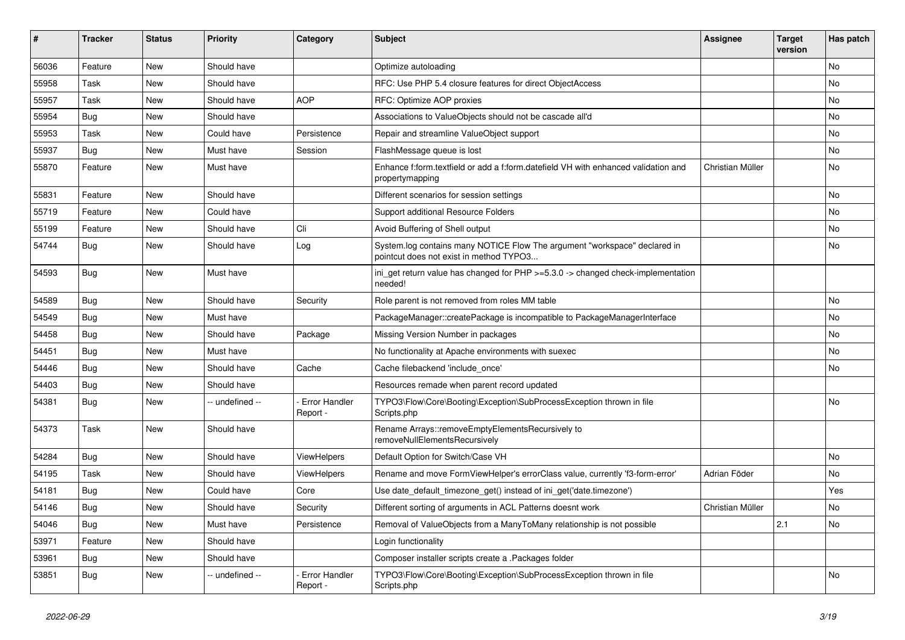| #     | <b>Tracker</b> | <b>Status</b> | <b>Priority</b> | Category                  | Subject                                                                                                              | Assignee         | <b>Target</b><br>version | Has patch |
|-------|----------------|---------------|-----------------|---------------------------|----------------------------------------------------------------------------------------------------------------------|------------------|--------------------------|-----------|
| 56036 | Feature        | New           | Should have     |                           | Optimize autoloading                                                                                                 |                  |                          | No        |
| 55958 | Task           | New           | Should have     |                           | RFC: Use PHP 5.4 closure features for direct ObjectAccess                                                            |                  |                          | No        |
| 55957 | Task           | New           | Should have     | <b>AOP</b>                | RFC: Optimize AOP proxies                                                                                            |                  |                          | No        |
| 55954 | Bug            | New           | Should have     |                           | Associations to ValueObjects should not be cascade all'd                                                             |                  |                          | No        |
| 55953 | Task           | New           | Could have      | Persistence               | Repair and streamline ValueObject support                                                                            |                  |                          | No        |
| 55937 | Bug            | New           | Must have       | Session                   | FlashMessage queue is lost                                                                                           |                  |                          | No        |
| 55870 | Feature        | New           | Must have       |                           | Enhance f:form.textfield or add a f:form.datefield VH with enhanced validation and<br>propertymapping                | Christian Müller |                          | No        |
| 55831 | Feature        | New           | Should have     |                           | Different scenarios for session settings                                                                             |                  |                          | No        |
| 55719 | Feature        | New           | Could have      |                           | Support additional Resource Folders                                                                                  |                  |                          | No        |
| 55199 | Feature        | New           | Should have     | Cli                       | Avoid Buffering of Shell output                                                                                      |                  |                          | No        |
| 54744 | Bug            | New           | Should have     | Log                       | System.log contains many NOTICE Flow The argument "workspace" declared in<br>pointcut does not exist in method TYPO3 |                  |                          | No        |
| 54593 | Bug            | New           | Must have       |                           | ini_get return value has changed for PHP >=5.3.0 -> changed check-implementation<br>needed!                          |                  |                          |           |
| 54589 | Bug            | New           | Should have     | Security                  | Role parent is not removed from roles MM table                                                                       |                  |                          | No        |
| 54549 | <b>Bug</b>     | New           | Must have       |                           | PackageManager::createPackage is incompatible to PackageManagerInterface                                             |                  |                          | No        |
| 54458 | Bug            | New           | Should have     | Package                   | Missing Version Number in packages                                                                                   |                  |                          | No        |
| 54451 | Bug            | New           | Must have       |                           | No functionality at Apache environments with suexec                                                                  |                  |                          | No        |
| 54446 | Bug            | New           | Should have     | Cache                     | Cache filebackend 'include_once'                                                                                     |                  |                          | No        |
| 54403 | Bug            | New           | Should have     |                           | Resources remade when parent record updated                                                                          |                  |                          |           |
| 54381 | Bug            | New           | -- undefined -- | Error Handler<br>Report - | TYPO3\Flow\Core\Booting\Exception\SubProcessException thrown in file<br>Scripts.php                                  |                  |                          | No        |
| 54373 | Task           | New           | Should have     |                           | Rename Arrays::removeEmptyElementsRecursively to<br>removeNullElementsRecursively                                    |                  |                          |           |
| 54284 | Bug            | New           | Should have     | <b>ViewHelpers</b>        | Default Option for Switch/Case VH                                                                                    |                  |                          | <b>No</b> |
| 54195 | Task           | New           | Should have     | <b>ViewHelpers</b>        | Rename and move FormViewHelper's errorClass value, currently 'f3-form-error'                                         | Adrian Föder     |                          | No        |
| 54181 | Bug            | New           | Could have      | Core                      | Use date_default_timezone_get() instead of ini_get('date.timezone')                                                  |                  |                          | Yes       |
| 54146 | Bug            | New           | Should have     | Security                  | Different sorting of arguments in ACL Patterns doesnt work                                                           | Christian Müller |                          | No        |
| 54046 | <b>Bug</b>     | New           | Must have       | Persistence               | Removal of ValueObjects from a ManyToMany relationship is not possible                                               |                  | 2.1                      | No        |
| 53971 | Feature        | New           | Should have     |                           | Login functionality                                                                                                  |                  |                          |           |
| 53961 | <b>Bug</b>     | New           | Should have     |                           | Composer installer scripts create a .Packages folder                                                                 |                  |                          |           |
| 53851 | <b>Bug</b>     | New           | -- undefined -- | Error Handler<br>Report - | TYPO3\Flow\Core\Booting\Exception\SubProcessException thrown in file<br>Scripts.php                                  |                  |                          | No        |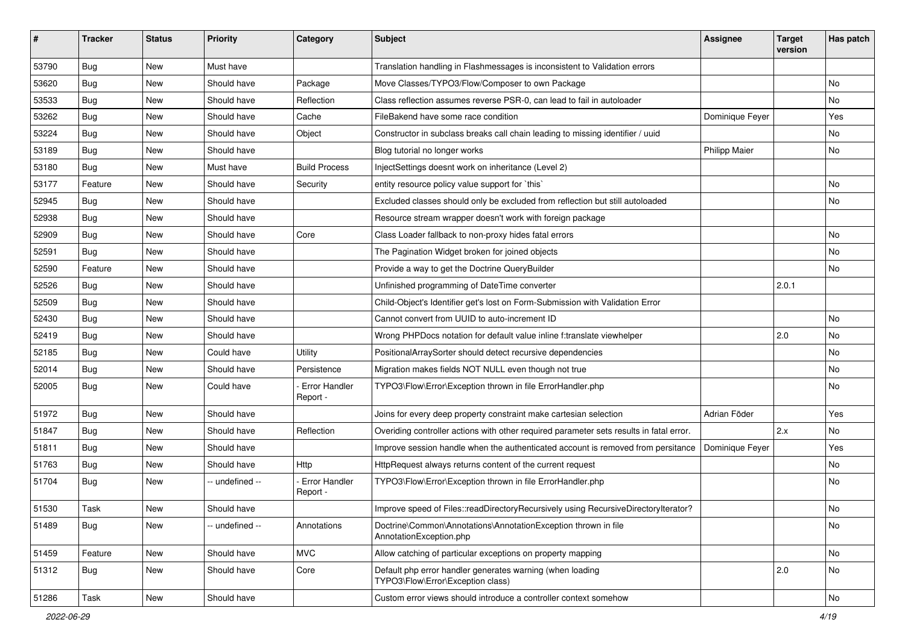| ∦     | <b>Tracker</b> | <b>Status</b> | <b>Priority</b> | Category                         | <b>Subject</b>                                                                                 | <b>Assignee</b>      | <b>Target</b><br>version | Has patch |
|-------|----------------|---------------|-----------------|----------------------------------|------------------------------------------------------------------------------------------------|----------------------|--------------------------|-----------|
| 53790 | Bug            | <b>New</b>    | Must have       |                                  | Translation handling in Flashmessages is inconsistent to Validation errors                     |                      |                          |           |
| 53620 | <b>Bug</b>     | New           | Should have     | Package                          | Move Classes/TYPO3/Flow/Composer to own Package                                                |                      |                          | No.       |
| 53533 | <b>Bug</b>     | New           | Should have     | Reflection                       | Class reflection assumes reverse PSR-0, can lead to fail in autoloader                         |                      |                          | No        |
| 53262 | Bug            | New           | Should have     | Cache                            | FileBakend have some race condition                                                            | Dominique Feyer      |                          | Yes       |
| 53224 | <b>Bug</b>     | New           | Should have     | Object                           | Constructor in subclass breaks call chain leading to missing identifier / uuid                 |                      |                          | No        |
| 53189 | Bug            | New           | Should have     |                                  | Blog tutorial no longer works                                                                  | <b>Philipp Maier</b> |                          | No.       |
| 53180 | Bug            | New           | Must have       | <b>Build Process</b>             | InjectSettings doesnt work on inheritance (Level 2)                                            |                      |                          |           |
| 53177 | Feature        | New           | Should have     | Security                         | entity resource policy value support for `this`                                                |                      |                          | No        |
| 52945 | Bug            | New           | Should have     |                                  | Excluded classes should only be excluded from reflection but still autoloaded                  |                      |                          | No        |
| 52938 | <b>Bug</b>     | New           | Should have     |                                  | Resource stream wrapper doesn't work with foreign package                                      |                      |                          |           |
| 52909 | Bug            | New           | Should have     | Core                             | Class Loader fallback to non-proxy hides fatal errors                                          |                      |                          | No        |
| 52591 | Bug            | New           | Should have     |                                  | The Pagination Widget broken for joined objects                                                |                      |                          | <b>No</b> |
| 52590 | Feature        | New           | Should have     |                                  | Provide a way to get the Doctrine QueryBuilder                                                 |                      |                          | No.       |
| 52526 | Bug            | New           | Should have     |                                  | Unfinished programming of DateTime converter                                                   |                      | 2.0.1                    |           |
| 52509 | Bug            | New           | Should have     |                                  | Child-Object's Identifier get's lost on Form-Submission with Validation Error                  |                      |                          |           |
| 52430 | Bug            | New           | Should have     |                                  | Cannot convert from UUID to auto-increment ID                                                  |                      |                          | No        |
| 52419 | Bug            | New           | Should have     |                                  | Wrong PHPDocs notation for default value inline f:translate viewhelper                         |                      | 2.0                      | <b>No</b> |
| 52185 | <b>Bug</b>     | New           | Could have      | Utility                          | PositionalArraySorter should detect recursive dependencies                                     |                      |                          | No        |
| 52014 | Bug            | New           | Should have     | Persistence                      | Migration makes fields NOT NULL even though not true                                           |                      |                          | <b>No</b> |
| 52005 | Bug            | New           | Could have      | <b>Error Handler</b><br>Report - | TYPO3\Flow\Error\Exception thrown in file ErrorHandler.php                                     |                      |                          | <b>No</b> |
| 51972 | Bug            | <b>New</b>    | Should have     |                                  | Joins for every deep property constraint make cartesian selection                              | Adrian Föder         |                          | Yes       |
| 51847 | <b>Bug</b>     | New           | Should have     | Reflection                       | Overiding controller actions with other required parameter sets results in fatal error.        |                      | 2.x                      | No        |
| 51811 | <b>Bug</b>     | New           | Should have     |                                  | Improve session handle when the authenticated account is removed from persitance               | Dominique Feyer      |                          | Yes       |
| 51763 | Bug            | New           | Should have     | Http                             | HttpRequest always returns content of the current request                                      |                      |                          | No        |
| 51704 | Bug            | New           | -- undefined -- | <b>Error Handler</b><br>Report - | TYPO3\Flow\Error\Exception thrown in file ErrorHandler.php                                     |                      |                          | No.       |
| 51530 | Task           | New           | Should have     |                                  | Improve speed of Files::readDirectoryRecursively using RecursiveDirectoryIterator?             |                      |                          | No        |
| 51489 | <b>Bug</b>     | New           | -- undefined -- | Annotations                      | Doctrine\Common\Annotations\AnnotationException thrown in file<br>AnnotationException.php      |                      |                          | No        |
| 51459 | Feature        | New           | Should have     | <b>MVC</b>                       | Allow catching of particular exceptions on property mapping                                    |                      |                          | No        |
| 51312 | <b>Bug</b>     | New           | Should have     | Core                             | Default php error handler generates warning (when loading<br>TYPO3\Flow\Error\Exception class) |                      | 2.0                      | No        |
| 51286 | Task           | New           | Should have     |                                  | Custom error views should introduce a controller context somehow                               |                      |                          | No        |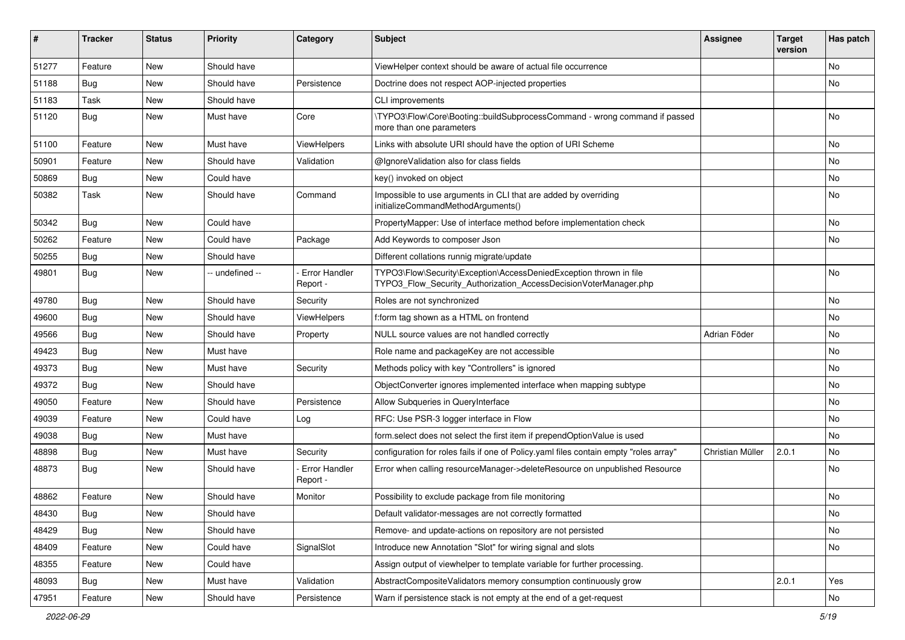| #     | <b>Tracker</b> | <b>Status</b> | <b>Priority</b> | Category                  | Subject                                                                                                                                | <b>Assignee</b>  | <b>Target</b><br>version | Has patch |
|-------|----------------|---------------|-----------------|---------------------------|----------------------------------------------------------------------------------------------------------------------------------------|------------------|--------------------------|-----------|
| 51277 | Feature        | New           | Should have     |                           | ViewHelper context should be aware of actual file occurrence                                                                           |                  |                          | No        |
| 51188 | <b>Bug</b>     | New           | Should have     | Persistence               | Doctrine does not respect AOP-injected properties                                                                                      |                  |                          | No        |
| 51183 | Task           | New           | Should have     |                           | <b>CLI improvements</b>                                                                                                                |                  |                          |           |
| 51120 | Bug            | New           | Must have       | Core                      | \TYPO3\Flow\Core\Booting::buildSubprocessCommand - wrong command if passed<br>more than one parameters                                 |                  |                          | No        |
| 51100 | Feature        | New           | Must have       | ViewHelpers               | Links with absolute URI should have the option of URI Scheme                                                                           |                  |                          | No        |
| 50901 | Feature        | New           | Should have     | Validation                | @IgnoreValidation also for class fields                                                                                                |                  |                          | No        |
| 50869 | Bug            | New           | Could have      |                           | key() invoked on object                                                                                                                |                  |                          | No        |
| 50382 | Task           | New           | Should have     | Command                   | Impossible to use arguments in CLI that are added by overriding<br>initializeCommandMethodArguments()                                  |                  |                          | No        |
| 50342 | Bug            | New           | Could have      |                           | PropertyMapper: Use of interface method before implementation check                                                                    |                  |                          | No        |
| 50262 | Feature        | <b>New</b>    | Could have      | Package                   | Add Keywords to composer Json                                                                                                          |                  |                          | No        |
| 50255 | Bug            | New           | Should have     |                           | Different collations runnig migrate/update                                                                                             |                  |                          |           |
| 49801 | <b>Bug</b>     | New           | -- undefined -- | Error Handler<br>Report - | TYPO3\Flow\Security\Exception\AccessDeniedException thrown in file<br>TYPO3_Flow_Security_Authorization_AccessDecisionVoterManager.php |                  |                          | No        |
| 49780 | Bug            | New           | Should have     | Security                  | Roles are not synchronized                                                                                                             |                  |                          | No        |
| 49600 | <b>Bug</b>     | New           | Should have     | <b>ViewHelpers</b>        | f:form tag shown as a HTML on frontend                                                                                                 |                  |                          | No        |
| 49566 | <b>Bug</b>     | New           | Should have     | Property                  | NULL source values are not handled correctly                                                                                           | Adrian Föder     |                          | No        |
| 49423 | <b>Bug</b>     | New           | Must have       |                           | Role name and packageKey are not accessible                                                                                            |                  |                          | No        |
| 49373 | Bug            | New           | Must have       | Security                  | Methods policy with key "Controllers" is ignored                                                                                       |                  |                          | No        |
| 49372 | Bug            | New           | Should have     |                           | ObjectConverter ignores implemented interface when mapping subtype                                                                     |                  |                          | No        |
| 49050 | Feature        | New           | Should have     | Persistence               | Allow Subqueries in QueryInterface                                                                                                     |                  |                          | No        |
| 49039 | Feature        | New           | Could have      | Log                       | RFC: Use PSR-3 logger interface in Flow                                                                                                |                  |                          | No        |
| 49038 | Bug            | New           | Must have       |                           | form select does not select the first item if prependOptionValue is used                                                               |                  |                          | No        |
| 48898 | Bug            | New           | Must have       | Security                  | configuration for roles fails if one of Policy yaml files contain empty "roles array"                                                  | Christian Müller | 2.0.1                    | No        |
| 48873 | Bug            | New           | Should have     | Error Handler<br>Report - | Error when calling resourceManager->deleteResource on unpublished Resource                                                             |                  |                          | No        |
| 48862 | Feature        | New           | Should have     | Monitor                   | Possibility to exclude package from file monitoring                                                                                    |                  |                          | No        |
| 48430 | <b>Bug</b>     | New           | Should have     |                           | Default validator-messages are not correctly formatted                                                                                 |                  |                          | No.       |
| 48429 | <b>Bug</b>     | New           | Should have     |                           | Remove- and update-actions on repository are not persisted                                                                             |                  |                          | No        |
| 48409 | Feature        | New           | Could have      | SignalSlot                | Introduce new Annotation "Slot" for wiring signal and slots                                                                            |                  |                          | No        |
| 48355 | Feature        | New           | Could have      |                           | Assign output of viewhelper to template variable for further processing.                                                               |                  |                          |           |
| 48093 | <b>Bug</b>     | New           | Must have       | Validation                | AbstractCompositeValidators memory consumption continuously grow                                                                       |                  | 2.0.1                    | Yes       |
| 47951 | Feature        | New           | Should have     | Persistence               | Warn if persistence stack is not empty at the end of a get-request                                                                     |                  |                          | No        |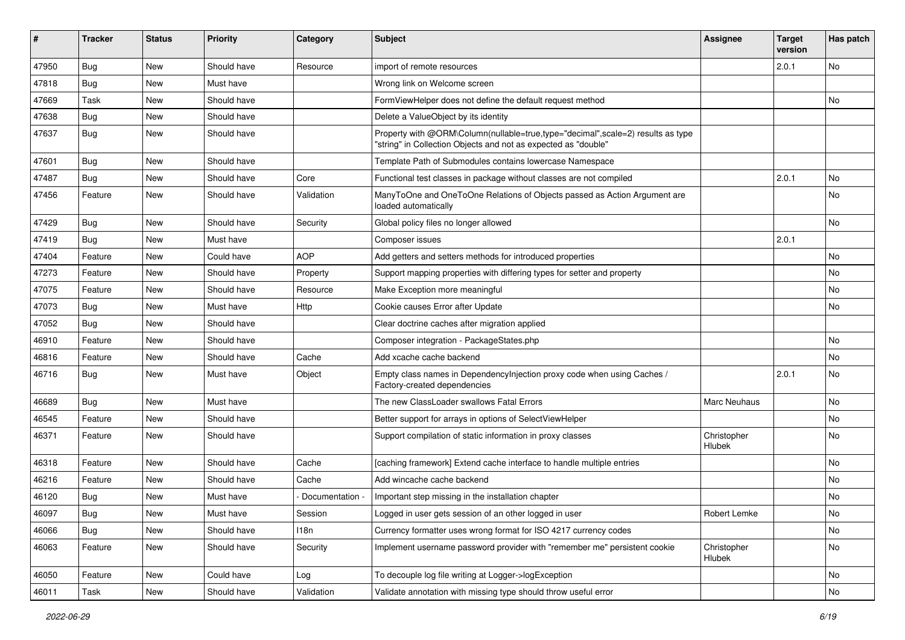| ∦     | <b>Tracker</b> | <b>Status</b> | <b>Priority</b> | Category        | Subject                                                                                                                                           | <b>Assignee</b>       | <b>Target</b><br>version | Has patch |
|-------|----------------|---------------|-----------------|-----------------|---------------------------------------------------------------------------------------------------------------------------------------------------|-----------------------|--------------------------|-----------|
| 47950 | Bug            | New           | Should have     | Resource        | import of remote resources                                                                                                                        |                       | 2.0.1                    | No        |
| 47818 | Bug            | New           | Must have       |                 | Wrong link on Welcome screen                                                                                                                      |                       |                          |           |
| 47669 | Task           | New           | Should have     |                 | FormViewHelper does not define the default request method                                                                                         |                       |                          | No        |
| 47638 | Bug            | New           | Should have     |                 | Delete a ValueObject by its identity                                                                                                              |                       |                          |           |
| 47637 | <b>Bug</b>     | New           | Should have     |                 | Property with @ORM\Column(nullable=true,type="decimal",scale=2) results as type<br>"string" in Collection Objects and not as expected as "double" |                       |                          |           |
| 47601 | <b>Bug</b>     | New           | Should have     |                 | Template Path of Submodules contains lowercase Namespace                                                                                          |                       |                          |           |
| 47487 | <b>Bug</b>     | New           | Should have     | Core            | Functional test classes in package without classes are not compiled                                                                               |                       | 2.0.1                    | No.       |
| 47456 | Feature        | New           | Should have     | Validation      | ManyToOne and OneToOne Relations of Objects passed as Action Argument are<br>loaded automatically                                                 |                       |                          | <b>No</b> |
| 47429 | <b>Bug</b>     | New           | Should have     | Security        | Global policy files no longer allowed                                                                                                             |                       |                          | No        |
| 47419 | Bug            | New           | Must have       |                 | Composer issues                                                                                                                                   |                       | 2.0.1                    |           |
| 47404 | Feature        | New           | Could have      | <b>AOP</b>      | Add getters and setters methods for introduced properties                                                                                         |                       |                          | No        |
| 47273 | Feature        | New           | Should have     | Property        | Support mapping properties with differing types for setter and property                                                                           |                       |                          | No        |
| 47075 | Feature        | New           | Should have     | Resource        | Make Exception more meaningful                                                                                                                    |                       |                          | <b>No</b> |
| 47073 | <b>Bug</b>     | New           | Must have       | Http            | Cookie causes Error after Update                                                                                                                  |                       |                          | No.       |
| 47052 | <b>Bug</b>     | New           | Should have     |                 | Clear doctrine caches after migration applied                                                                                                     |                       |                          |           |
| 46910 | Feature        | New           | Should have     |                 | Composer integration - PackageStates.php                                                                                                          |                       |                          | No        |
| 46816 | Feature        | New           | Should have     | Cache           | Add xcache cache backend                                                                                                                          |                       |                          | <b>No</b> |
| 46716 | Bug            | New           | Must have       | Object          | Empty class names in Dependencylnjection proxy code when using Caches /<br>Factory-created dependencies                                           |                       | 2.0.1                    | <b>No</b> |
| 46689 | <b>Bug</b>     | New           | Must have       |                 | The new ClassLoader swallows Fatal Errors                                                                                                         | <b>Marc Neuhaus</b>   |                          | No        |
| 46545 | Feature        | New           | Should have     |                 | Better support for arrays in options of SelectViewHelper                                                                                          |                       |                          | No        |
| 46371 | Feature        | New           | Should have     |                 | Support compilation of static information in proxy classes                                                                                        | Christopher<br>Hlubek |                          | No        |
| 46318 | Feature        | New           | Should have     | Cache           | [caching framework] Extend cache interface to handle multiple entries                                                                             |                       |                          | No.       |
| 46216 | Feature        | New           | Should have     | Cache           | Add wincache cache backend                                                                                                                        |                       |                          | No        |
| 46120 | <b>Bug</b>     | New           | Must have       | Documentation - | Important step missing in the installation chapter                                                                                                |                       |                          | No        |
| 46097 | <b>Bug</b>     | New           | Must have       | Session         | Logged in user gets session of an other logged in user                                                                                            | Robert Lemke          |                          | No        |
| 46066 | <b>Bug</b>     | <b>New</b>    | Should have     | 118n            | Currency formatter uses wrong format for ISO 4217 currency codes                                                                                  |                       |                          | No        |
| 46063 | Feature        | New           | Should have     | Security        | Implement username password provider with "remember me" persistent cookie                                                                         | Christopher<br>Hlubek |                          | No        |
| 46050 | Feature        | New           | Could have      | Log             | To decouple log file writing at Logger->logException                                                                                              |                       |                          | No        |
| 46011 | Task           | New           | Should have     | Validation      | Validate annotation with missing type should throw useful error                                                                                   |                       |                          | No        |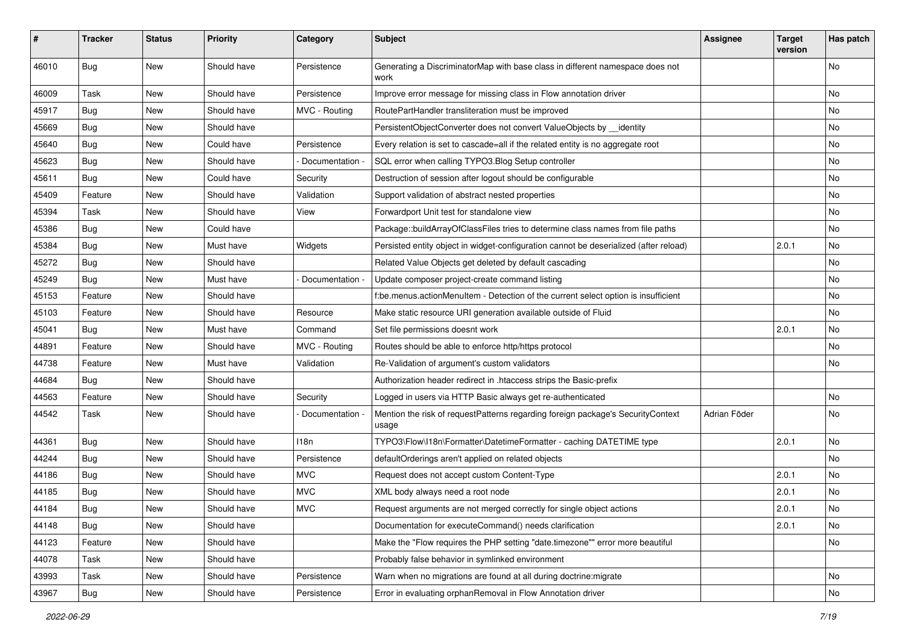| #     | <b>Tracker</b> | <b>Status</b> | <b>Priority</b> | Category      | <b>Subject</b>                                                                           | <b>Assignee</b> | <b>Target</b><br>version | Has patch |
|-------|----------------|---------------|-----------------|---------------|------------------------------------------------------------------------------------------|-----------------|--------------------------|-----------|
| 46010 | <b>Bug</b>     | <b>New</b>    | Should have     | Persistence   | Generating a DiscriminatorMap with base class in different namespace does not<br>work    |                 |                          | No        |
| 46009 | Task           | New           | Should have     | Persistence   | Improve error message for missing class in Flow annotation driver                        |                 |                          | No        |
| 45917 | <b>Bug</b>     | <b>New</b>    | Should have     | MVC - Routing | RoutePartHandler transliteration must be improved                                        |                 |                          | No        |
| 45669 | <b>Bug</b>     | New           | Should have     |               | PersistentObjectConverter does not convert ValueObjects by __identity                    |                 |                          | No        |
| 45640 | <b>Bug</b>     | New           | Could have      | Persistence   | Every relation is set to cascade=all if the related entity is no aggregate root          |                 |                          | No.       |
| 45623 | <b>Bug</b>     | New           | Should have     | Documentation | SQL error when calling TYPO3.Blog Setup controller                                       |                 |                          | No        |
| 45611 | <b>Bug</b>     | New           | Could have      | Security      | Destruction of session after logout should be configurable                               |                 |                          | No        |
| 45409 | Feature        | New           | Should have     | Validation    | Support validation of abstract nested properties                                         |                 |                          | No        |
| 45394 | Task           | New           | Should have     | View          | Forwardport Unit test for standalone view                                                |                 |                          | No        |
| 45386 | <b>Bug</b>     | New           | Could have      |               | Package::buildArrayOfClassFiles tries to determine class names from file paths           |                 |                          | No.       |
| 45384 | <b>Bug</b>     | New           | Must have       | Widgets       | Persisted entity object in widget-configuration cannot be deserialized (after reload)    |                 | 2.0.1                    | No        |
| 45272 | <b>Bug</b>     | New           | Should have     |               | Related Value Objects get deleted by default cascading                                   |                 |                          | No        |
| 45249 | Bug            | New           | Must have       | Documentation | Update composer project-create command listing                                           |                 |                          | No        |
| 45153 | Feature        | New           | Should have     |               | f:be.menus.actionMenuItem - Detection of the current select option is insufficient       |                 |                          | No        |
| 45103 | Feature        | New           | Should have     | Resource      | Make static resource URI generation available outside of Fluid                           |                 |                          | No        |
| 45041 | <b>Bug</b>     | New           | Must have       | Command       | Set file permissions doesnt work                                                         |                 | 2.0.1                    | No        |
| 44891 | Feature        | New           | Should have     | MVC - Routing | Routes should be able to enforce http/https protocol                                     |                 |                          | No        |
| 44738 | Feature        | New           | Must have       | Validation    | Re-Validation of argument's custom validators                                            |                 |                          | No        |
| 44684 | Bug            | New           | Should have     |               | Authorization header redirect in .htaccess strips the Basic-prefix                       |                 |                          |           |
| 44563 | Feature        | New           | Should have     | Security      | Logged in users via HTTP Basic always get re-authenticated                               |                 |                          | No        |
| 44542 | Task           | New           | Should have     | Documentation | Mention the risk of requestPatterns regarding foreign package's SecurityContext<br>usage | Adrian Föder    |                          | No        |
| 44361 | <b>Bug</b>     | New           | Should have     | 118n          | TYPO3\Flow\I18n\Formatter\DatetimeFormatter - caching DATETIME type                      |                 | 2.0.1                    | No        |
| 44244 | <b>Bug</b>     | New           | Should have     | Persistence   | defaultOrderings aren't applied on related objects                                       |                 |                          | No        |
| 44186 | <b>Bug</b>     | New           | Should have     | <b>MVC</b>    | Request does not accept custom Content-Type                                              |                 | 2.0.1                    | No        |
| 44185 | <b>Bug</b>     | New           | Should have     | <b>MVC</b>    | XML body always need a root node                                                         |                 | 2.0.1                    | No        |
| 44184 | Bug            | New           | Should have     | <b>MVC</b>    | Request arguments are not merged correctly for single object actions                     |                 | 2.0.1                    | No        |
| 44148 | <b>Bug</b>     | New           | Should have     |               | Documentation for executeCommand() needs clarification                                   |                 | 2.0.1                    | No        |
| 44123 | Feature        | New           | Should have     |               | Make the "Flow requires the PHP setting "date.timezone"" error more beautiful            |                 |                          | No        |
| 44078 | Task           | New           | Should have     |               | Probably false behavior in symlinked environment                                         |                 |                          |           |
| 43993 | Task           | New           | Should have     | Persistence   | Warn when no migrations are found at all during doctrine: migrate                        |                 |                          | No        |
| 43967 | <b>Bug</b>     | New           | Should have     | Persistence   | Error in evaluating orphanRemoval in Flow Annotation driver                              |                 |                          | No        |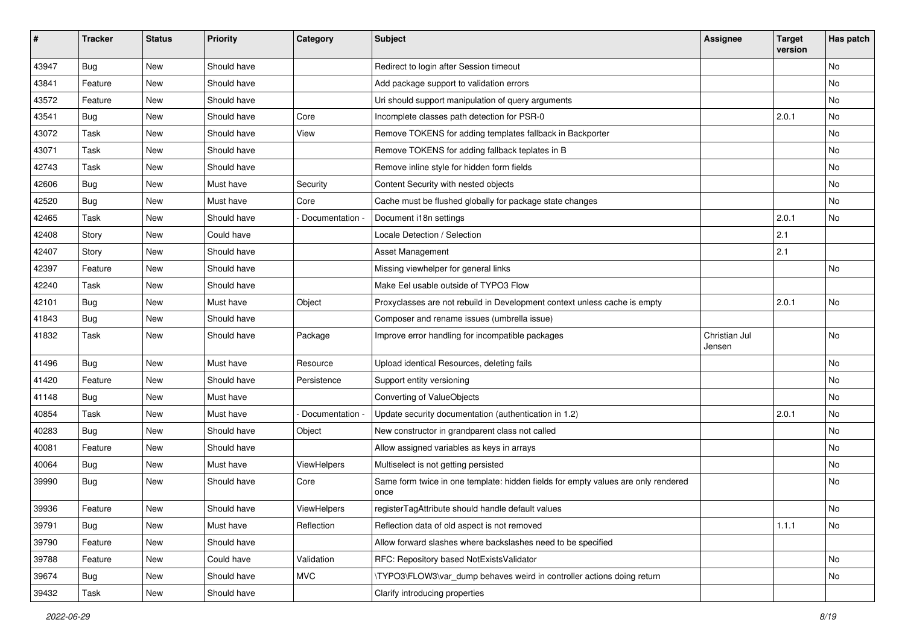| #     | <b>Tracker</b> | <b>Status</b> | <b>Priority</b> | Category           | <b>Subject</b>                                                                            | <b>Assignee</b>         | <b>Target</b><br>version | Has patch |
|-------|----------------|---------------|-----------------|--------------------|-------------------------------------------------------------------------------------------|-------------------------|--------------------------|-----------|
| 43947 | <b>Bug</b>     | New           | Should have     |                    | Redirect to login after Session timeout                                                   |                         |                          | No        |
| 43841 | Feature        | New           | Should have     |                    | Add package support to validation errors                                                  |                         |                          | No        |
| 43572 | Feature        | New           | Should have     |                    | Uri should support manipulation of query arguments                                        |                         |                          | No        |
| 43541 | Bug            | New           | Should have     | Core               | Incomplete classes path detection for PSR-0                                               |                         | 2.0.1                    | No        |
| 43072 | Task           | New           | Should have     | View               | Remove TOKENS for adding templates fallback in Backporter                                 |                         |                          | No        |
| 43071 | Task           | New           | Should have     |                    | Remove TOKENS for adding fallback teplates in B                                           |                         |                          | No        |
| 42743 | Task           | New           | Should have     |                    | Remove inline style for hidden form fields                                                |                         |                          | No        |
| 42606 | <b>Bug</b>     | New           | Must have       | Security           | Content Security with nested objects                                                      |                         |                          | No        |
| 42520 | <b>Bug</b>     | New           | Must have       | Core               | Cache must be flushed globally for package state changes                                  |                         |                          | No        |
| 42465 | Task           | New           | Should have     | Documentation      | Document i18n settings                                                                    |                         | 2.0.1                    | No        |
| 42408 | Story          | New           | Could have      |                    | Locale Detection / Selection                                                              |                         | 2.1                      |           |
| 42407 | Story          | New           | Should have     |                    | Asset Management                                                                          |                         | 2.1                      |           |
| 42397 | Feature        | New           | Should have     |                    | Missing viewhelper for general links                                                      |                         |                          | <b>No</b> |
| 42240 | Task           | New           | Should have     |                    | Make Eel usable outside of TYPO3 Flow                                                     |                         |                          |           |
| 42101 | <b>Bug</b>     | New           | Must have       | Object             | Proxyclasses are not rebuild in Development context unless cache is empty                 |                         | 2.0.1                    | No        |
| 41843 | <b>Bug</b>     | New           | Should have     |                    | Composer and rename issues (umbrella issue)                                               |                         |                          |           |
| 41832 | Task           | New           | Should have     | Package            | Improve error handling for incompatible packages                                          | Christian Jul<br>Jensen |                          | No        |
| 41496 | Bug            | <b>New</b>    | Must have       | Resource           | Upload identical Resources, deleting fails                                                |                         |                          | No        |
| 41420 | Feature        | New           | Should have     | Persistence        | Support entity versioning                                                                 |                         |                          | No        |
| 41148 | <b>Bug</b>     | New           | Must have       |                    | Converting of ValueObjects                                                                |                         |                          | No        |
| 40854 | Task           | New           | Must have       | Documentation      | Update security documentation (authentication in 1.2)                                     |                         | 2.0.1                    | No        |
| 40283 | <b>Bug</b>     | New           | Should have     | Object             | New constructor in grandparent class not called                                           |                         |                          | No        |
| 40081 | Feature        | New           | Should have     |                    | Allow assigned variables as keys in arrays                                                |                         |                          | No        |
| 40064 | <b>Bug</b>     | New           | Must have       | <b>ViewHelpers</b> | Multiselect is not getting persisted                                                      |                         |                          | No        |
| 39990 | Bug            | New           | Should have     | Core               | Same form twice in one template: hidden fields for empty values are only rendered<br>once |                         |                          | No        |
| 39936 | Feature        | New           | Should have     | ViewHelpers        | registerTagAttribute should handle default values                                         |                         |                          | No        |
| 39791 | Bug            | New           | Must have       | Reflection         | Reflection data of old aspect is not removed                                              |                         | 1.1.1                    | No        |
| 39790 | Feature        | New           | Should have     |                    | Allow forward slashes where backslashes need to be specified                              |                         |                          |           |
| 39788 | Feature        | New           | Could have      | Validation         | RFC: Repository based NotExistsValidator                                                  |                         |                          | No        |
| 39674 | Bug            | New           | Should have     | <b>MVC</b>         | \TYPO3\FLOW3\var dump behaves weird in controller actions doing return                    |                         |                          | No        |
| 39432 | Task           | New           | Should have     |                    | Clarify introducing properties                                                            |                         |                          |           |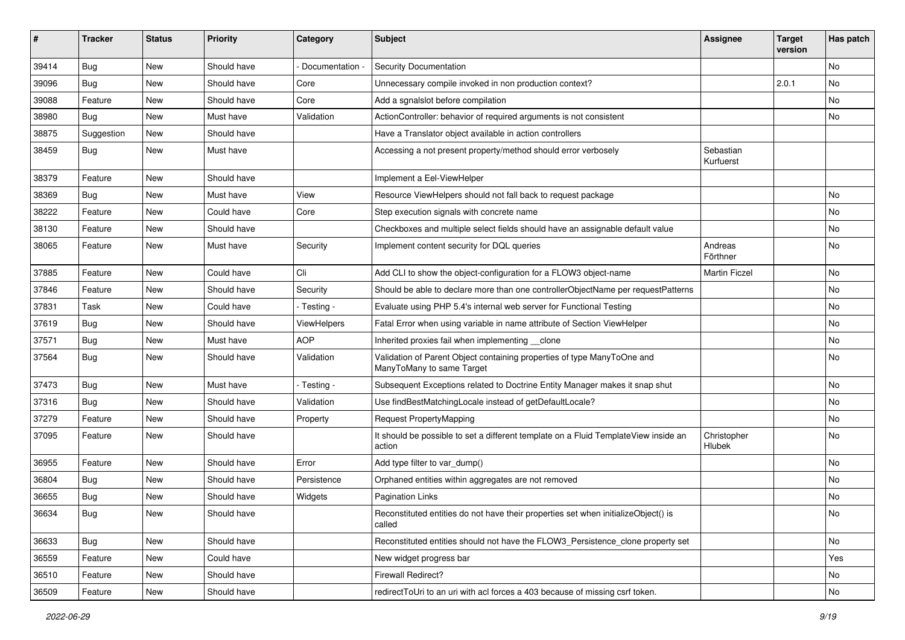| #     | <b>Tracker</b> | <b>Status</b> | <b>Priority</b> | Category      | <b>Subject</b>                                                                                       | <b>Assignee</b>              | <b>Target</b><br>version | Has patch |
|-------|----------------|---------------|-----------------|---------------|------------------------------------------------------------------------------------------------------|------------------------------|--------------------------|-----------|
| 39414 | Bug            | New           | Should have     | Documentation | <b>Security Documentation</b>                                                                        |                              |                          | No        |
| 39096 | <b>Bug</b>     | New           | Should have     | Core          | Unnecessary compile invoked in non production context?                                               |                              | 2.0.1                    | No        |
| 39088 | Feature        | New           | Should have     | Core          | Add a sgnalslot before compilation                                                                   |                              |                          | No        |
| 38980 | Bug            | <b>New</b>    | Must have       | Validation    | ActionController: behavior of required arguments is not consistent                                   |                              |                          | No        |
| 38875 | Suggestion     | New           | Should have     |               | Have a Translator object available in action controllers                                             |                              |                          |           |
| 38459 | <b>Bug</b>     | New           | Must have       |               | Accessing a not present property/method should error verbosely                                       | Sebastian<br>Kurfuerst       |                          |           |
| 38379 | Feature        | New           | Should have     |               | Implement a Eel-ViewHelper                                                                           |                              |                          |           |
| 38369 | <b>Bug</b>     | New           | Must have       | View          | Resource ViewHelpers should not fall back to request package                                         |                              |                          | No        |
| 38222 | Feature        | New           | Could have      | Core          | Step execution signals with concrete name                                                            |                              |                          | No        |
| 38130 | Feature        | New           | Should have     |               | Checkboxes and multiple select fields should have an assignable default value                        |                              |                          | No        |
| 38065 | Feature        | New           | Must have       | Security      | Implement content security for DQL queries                                                           | Andreas<br>Förthner          |                          | No        |
| 37885 | Feature        | New           | Could have      | Cli           | Add CLI to show the object-configuration for a FLOW3 object-name                                     | <b>Martin Ficzel</b>         |                          | No        |
| 37846 | Feature        | New           | Should have     | Security      | Should be able to declare more than one controllerObjectName per requestPatterns                     |                              |                          | No        |
| 37831 | Task           | New           | Could have      | - Testing -   | Evaluate using PHP 5.4's internal web server for Functional Testing                                  |                              |                          | No        |
| 37619 | Bug            | New           | Should have     | ViewHelpers   | Fatal Error when using variable in name attribute of Section ViewHelper                              |                              |                          | No        |
| 37571 | <b>Bug</b>     | New           | Must have       | <b>AOP</b>    | Inherited proxies fail when implementing __ clone                                                    |                              |                          | No        |
| 37564 | <b>Bug</b>     | New           | Should have     | Validation    | Validation of Parent Object containing properties of type ManyToOne and<br>ManyToMany to same Target |                              |                          | No        |
| 37473 | <b>Bug</b>     | New           | Must have       | - Testing -   | Subsequent Exceptions related to Doctrine Entity Manager makes it snap shut                          |                              |                          | No        |
| 37316 | <b>Bug</b>     | New           | Should have     | Validation    | Use findBestMatchingLocale instead of getDefaultLocale?                                              |                              |                          | No        |
| 37279 | Feature        | New           | Should have     | Property      | Request PropertyMapping                                                                              |                              |                          | No        |
| 37095 | Feature        | New           | Should have     |               | It should be possible to set a different template on a Fluid TemplateView inside an<br>action        | Christopher<br><b>Hlubek</b> |                          | No        |
| 36955 | Feature        | New           | Should have     | Error         | Add type filter to var dump()                                                                        |                              |                          | No        |
| 36804 | Bug            | New           | Should have     | Persistence   | Orphaned entities within aggregates are not removed                                                  |                              |                          | No        |
| 36655 | <b>Bug</b>     | New           | Should have     | Widgets       | Pagination Links                                                                                     |                              |                          | No        |
| 36634 | <b>Bug</b>     | New           | Should have     |               | Reconstituted entities do not have their properties set when initializeObject() is<br>called         |                              |                          | No.       |
| 36633 | Bug            | New           | Should have     |               | Reconstituted entities should not have the FLOW3_Persistence_clone property set                      |                              |                          | No        |
| 36559 | Feature        | New           | Could have      |               | New widget progress bar                                                                              |                              |                          | Yes       |
| 36510 | Feature        | New           | Should have     |               | Firewall Redirect?                                                                                   |                              |                          | No        |
| 36509 | Feature        | New           | Should have     |               | redirectToUri to an uri with acl forces a 403 because of missing csrf token.                         |                              |                          | No        |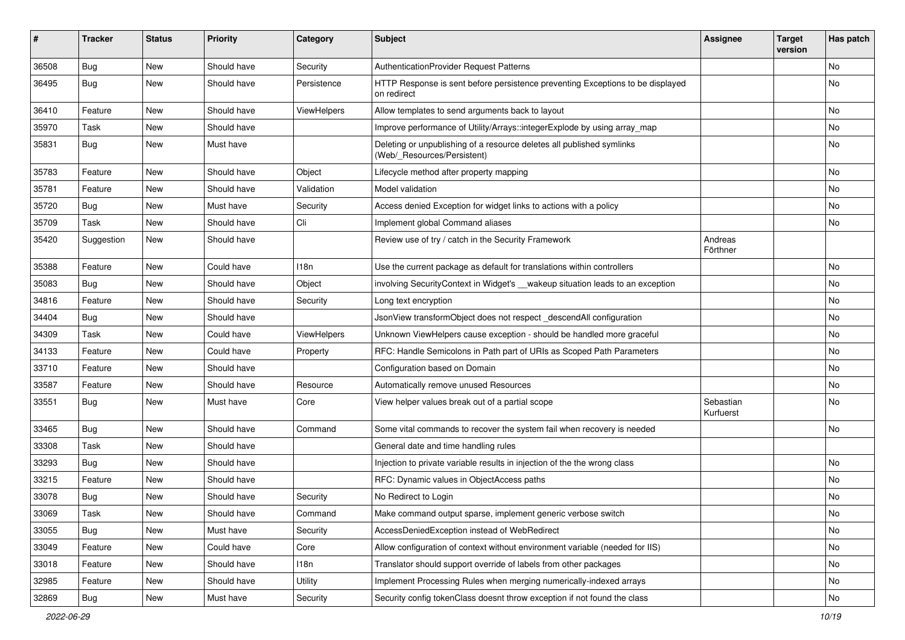| #     | <b>Tracker</b> | <b>Status</b> | <b>Priority</b> | Category       | <b>Subject</b>                                                                                       | <b>Assignee</b>        | <b>Target</b><br>version | Has patch |
|-------|----------------|---------------|-----------------|----------------|------------------------------------------------------------------------------------------------------|------------------------|--------------------------|-----------|
| 36508 | Bug            | New           | Should have     | Security       | AuthenticationProvider Request Patterns                                                              |                        |                          | No        |
| 36495 | <b>Bug</b>     | New           | Should have     | Persistence    | HTTP Response is sent before persistence preventing Exceptions to be displayed<br>on redirect        |                        |                          | No        |
| 36410 | Feature        | New           | Should have     | ViewHelpers    | Allow templates to send arguments back to layout                                                     |                        |                          | No        |
| 35970 | Task           | New           | Should have     |                | Improve performance of Utility/Arrays::integerExplode by using array_map                             |                        |                          | <b>No</b> |
| 35831 | <b>Bug</b>     | New           | Must have       |                | Deleting or unpublishing of a resource deletes all published symlinks<br>(Web/ Resources/Persistent) |                        |                          | No        |
| 35783 | Feature        | New           | Should have     | Object         | Lifecycle method after property mapping                                                              |                        |                          | No        |
| 35781 | Feature        | New           | Should have     | Validation     | Model validation                                                                                     |                        |                          | <b>No</b> |
| 35720 | <b>Bug</b>     | New           | Must have       | Security       | Access denied Exception for widget links to actions with a policy                                    |                        |                          | No        |
| 35709 | Task           | New           | Should have     | Cli            | Implement global Command aliases                                                                     |                        |                          | No        |
| 35420 | Suggestion     | New           | Should have     |                | Review use of try / catch in the Security Framework                                                  | Andreas<br>Förthner    |                          |           |
| 35388 | Feature        | New           | Could have      | 118n           | Use the current package as default for translations within controllers                               |                        |                          | No        |
| 35083 | Bug            | New           | Should have     | Object         | involving SecurityContext in Widget's __wakeup situation leads to an exception                       |                        |                          | No        |
| 34816 | Feature        | New           | Should have     | Security       | Long text encryption                                                                                 |                        |                          | No        |
| 34404 | Bug            | New           | Should have     |                | JsonView transformObject does not respect_descendAll configuration                                   |                        |                          | No        |
| 34309 | Task           | New           | Could have      | ViewHelpers    | Unknown ViewHelpers cause exception - should be handled more graceful                                |                        |                          | No        |
| 34133 | Feature        | New           | Could have      | Property       | RFC: Handle Semicolons in Path part of URIs as Scoped Path Parameters                                |                        |                          | No        |
| 33710 | Feature        | New           | Should have     |                | Configuration based on Domain                                                                        |                        |                          | No        |
| 33587 | Feature        | New           | Should have     | Resource       | Automatically remove unused Resources                                                                |                        |                          | No        |
| 33551 | <b>Bug</b>     | New           | Must have       | Core           | View helper values break out of a partial scope                                                      | Sebastian<br>Kurfuerst |                          | No        |
| 33465 | <b>Bug</b>     | New           | Should have     | Command        | Some vital commands to recover the system fail when recovery is needed                               |                        |                          | No        |
| 33308 | Task           | New           | Should have     |                | General date and time handling rules                                                                 |                        |                          |           |
| 33293 | <b>Bug</b>     | New           | Should have     |                | Injection to private variable results in injection of the the wrong class                            |                        |                          | No        |
| 33215 | Feature        | New           | Should have     |                | RFC: Dynamic values in ObjectAccess paths                                                            |                        |                          | No        |
| 33078 | <b>Bug</b>     | New           | Should have     | Security       | No Redirect to Login                                                                                 |                        |                          | No        |
| 33069 | Task           | New           | Should have     | Command        | Make command output sparse, implement generic verbose switch                                         |                        |                          | No.       |
| 33055 | <b>Bug</b>     | New           | Must have       | Security       | AccessDeniedException instead of WebRedirect                                                         |                        |                          | No        |
| 33049 | Feature        | New           | Could have      | Core           | Allow configuration of context without environment variable (needed for IIS)                         |                        |                          | No        |
| 33018 | Feature        | New           | Should have     | 118n           | Translator should support override of labels from other packages                                     |                        |                          | No        |
| 32985 | Feature        | New           | Should have     | <b>Utility</b> | Implement Processing Rules when merging numerically-indexed arrays                                   |                        |                          | No        |
| 32869 | Bug            | New           | Must have       | Security       | Security config tokenClass doesnt throw exception if not found the class                             |                        |                          | No        |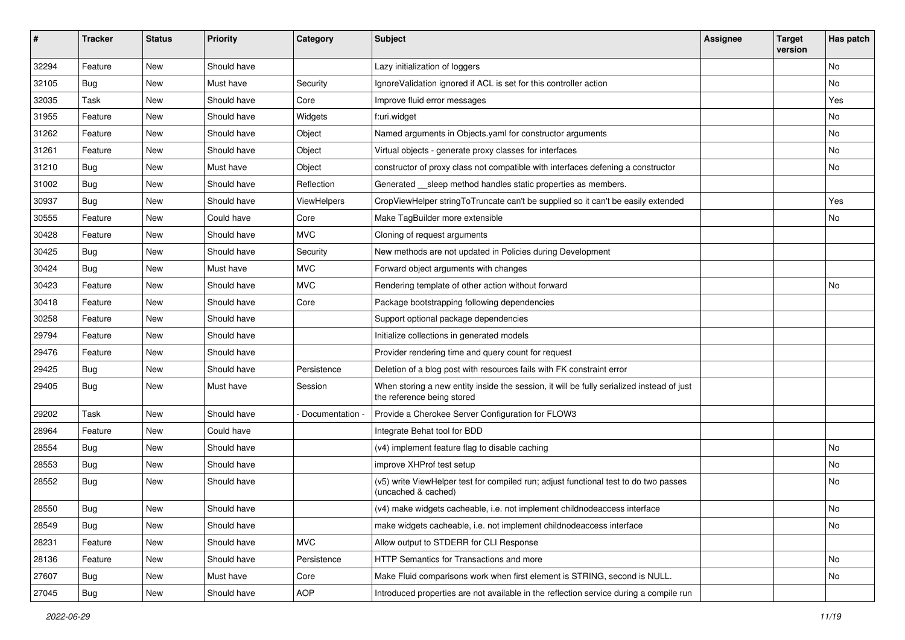| #     | <b>Tracker</b> | <b>Status</b> | <b>Priority</b> | Category      | Subject                                                                                                                 | <b>Assignee</b> | <b>Target</b><br>version | Has patch |
|-------|----------------|---------------|-----------------|---------------|-------------------------------------------------------------------------------------------------------------------------|-----------------|--------------------------|-----------|
| 32294 | Feature        | New           | Should have     |               | Lazy initialization of loggers                                                                                          |                 |                          | No        |
| 32105 | <b>Bug</b>     | New           | Must have       | Security      | IgnoreValidation ignored if ACL is set for this controller action                                                       |                 |                          | No        |
| 32035 | Task           | New           | Should have     | Core          | Improve fluid error messages                                                                                            |                 |                          | Yes       |
| 31955 | Feature        | New           | Should have     | Widgets       | f:uri.widget                                                                                                            |                 |                          | No        |
| 31262 | Feature        | New           | Should have     | Object        | Named arguments in Objects yaml for constructor arguments                                                               |                 |                          | No        |
| 31261 | Feature        | New           | Should have     | Object        | Virtual objects - generate proxy classes for interfaces                                                                 |                 |                          | <b>No</b> |
| 31210 | <b>Bug</b>     | New           | Must have       | Object        | constructor of proxy class not compatible with interfaces defening a constructor                                        |                 |                          | No        |
| 31002 | <b>Bug</b>     | New           | Should have     | Reflection    | Generated __ sleep method handles static properties as members.                                                         |                 |                          |           |
| 30937 | <b>Bug</b>     | New           | Should have     | ViewHelpers   | CropViewHelper stringToTruncate can't be supplied so it can't be easily extended                                        |                 |                          | Yes       |
| 30555 | Feature        | New           | Could have      | Core          | Make TagBuilder more extensible                                                                                         |                 |                          | No        |
| 30428 | Feature        | New           | Should have     | <b>MVC</b>    | Cloning of request arguments                                                                                            |                 |                          |           |
| 30425 | <b>Bug</b>     | New           | Should have     | Security      | New methods are not updated in Policies during Development                                                              |                 |                          |           |
| 30424 | <b>Bug</b>     | New           | Must have       | <b>MVC</b>    | Forward object arguments with changes                                                                                   |                 |                          |           |
| 30423 | Feature        | New           | Should have     | <b>MVC</b>    | Rendering template of other action without forward                                                                      |                 |                          | No        |
| 30418 | Feature        | New           | Should have     | Core          | Package bootstrapping following dependencies                                                                            |                 |                          |           |
| 30258 | Feature        | New           | Should have     |               | Support optional package dependencies                                                                                   |                 |                          |           |
| 29794 | Feature        | New           | Should have     |               | Initialize collections in generated models                                                                              |                 |                          |           |
| 29476 | Feature        | New           | Should have     |               | Provider rendering time and query count for request                                                                     |                 |                          |           |
| 29425 | <b>Bug</b>     | New           | Should have     | Persistence   | Deletion of a blog post with resources fails with FK constraint error                                                   |                 |                          |           |
| 29405 | <b>Bug</b>     | New           | Must have       | Session       | When storing a new entity inside the session, it will be fully serialized instead of just<br>the reference being stored |                 |                          |           |
| 29202 | Task           | New           | Should have     | Documentation | Provide a Cherokee Server Configuration for FLOW3                                                                       |                 |                          |           |
| 28964 | Feature        | New           | Could have      |               | Integrate Behat tool for BDD                                                                                            |                 |                          |           |
| 28554 | <b>Bug</b>     | New           | Should have     |               | (v4) implement feature flag to disable caching                                                                          |                 |                          | No        |
| 28553 | <b>Bug</b>     | New           | Should have     |               | improve XHProf test setup                                                                                               |                 |                          | No        |
| 28552 | <b>Bug</b>     | New           | Should have     |               | (v5) write ViewHelper test for compiled run; adjust functional test to do two passes<br>(uncached & cached)             |                 |                          | No        |
| 28550 | Bug            | New           | Should have     |               | (v4) make widgets cacheable, i.e. not implement childnodeaccess interface                                               |                 |                          | No        |
| 28549 | <b>Bug</b>     | New           | Should have     |               | make widgets cacheable, i.e. not implement childnodeaccess interface                                                    |                 |                          | No        |
| 28231 | Feature        | New           | Should have     | <b>MVC</b>    | Allow output to STDERR for CLI Response                                                                                 |                 |                          |           |
| 28136 | Feature        | New           | Should have     | Persistence   | HTTP Semantics for Transactions and more                                                                                |                 |                          | No        |
| 27607 | Bug            | New           | Must have       | Core          | Make Fluid comparisons work when first element is STRING, second is NULL.                                               |                 |                          | No        |
| 27045 | Bug            | New           | Should have     | AOP           | Introduced properties are not available in the reflection service during a compile run                                  |                 |                          |           |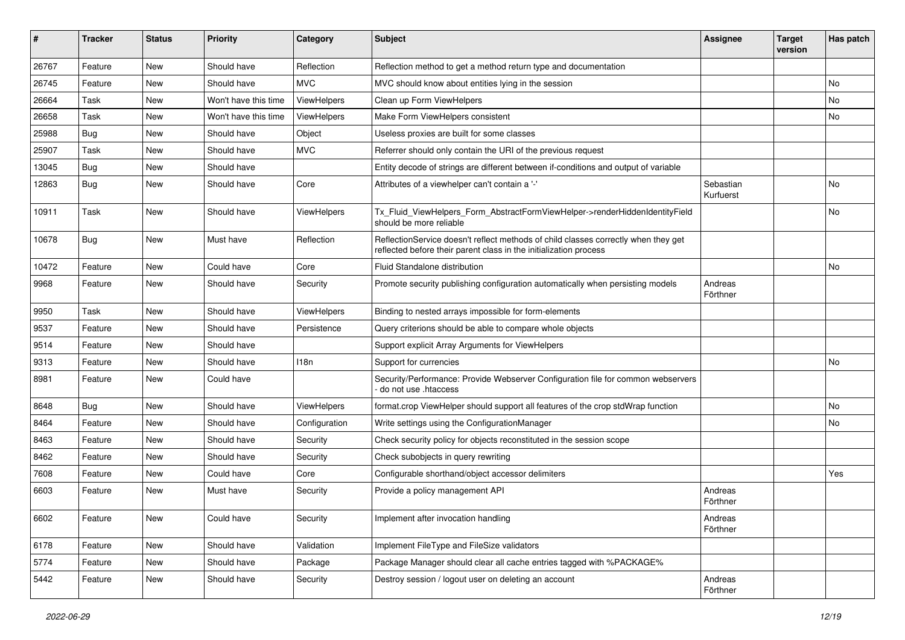| ∦     | <b>Tracker</b> | <b>Status</b> | <b>Priority</b>      | Category      | <b>Subject</b>                                                                                                                                          | <b>Assignee</b>        | <b>Target</b><br>version | Has patch |
|-------|----------------|---------------|----------------------|---------------|---------------------------------------------------------------------------------------------------------------------------------------------------------|------------------------|--------------------------|-----------|
| 26767 | Feature        | New           | Should have          | Reflection    | Reflection method to get a method return type and documentation                                                                                         |                        |                          |           |
| 26745 | Feature        | New           | Should have          | <b>MVC</b>    | MVC should know about entities lying in the session                                                                                                     |                        |                          | No.       |
| 26664 | Task           | New           | Won't have this time | ViewHelpers   | Clean up Form ViewHelpers                                                                                                                               |                        |                          | No        |
| 26658 | Task           | New           | Won't have this time | ViewHelpers   | Make Form ViewHelpers consistent                                                                                                                        |                        |                          | No.       |
| 25988 | Bug            | New           | Should have          | Object        | Useless proxies are built for some classes                                                                                                              |                        |                          |           |
| 25907 | Task           | New           | Should have          | <b>MVC</b>    | Referrer should only contain the URI of the previous request                                                                                            |                        |                          |           |
| 13045 | Bug            | New           | Should have          |               | Entity decode of strings are different between if-conditions and output of variable                                                                     |                        |                          |           |
| 12863 | <b>Bug</b>     | New           | Should have          | Core          | Attributes of a viewhelper can't contain a '-'                                                                                                          | Sebastian<br>Kurfuerst |                          | No        |
| 10911 | Task           | <b>New</b>    | Should have          | ViewHelpers   | Tx_Fluid_ViewHelpers_Form_AbstractFormViewHelper->renderHiddenIdentityField<br>should be more reliable                                                  |                        |                          | No        |
| 10678 | Bug            | <b>New</b>    | Must have            | Reflection    | ReflectionService doesn't reflect methods of child classes correctly when they get<br>reflected before their parent class in the initialization process |                        |                          |           |
| 10472 | Feature        | New           | Could have           | Core          | <b>Fluid Standalone distribution</b>                                                                                                                    |                        |                          | No        |
| 9968  | Feature        | New           | Should have          | Security      | Promote security publishing configuration automatically when persisting models                                                                          | Andreas<br>Förthner    |                          |           |
| 9950  | Task           | New           | Should have          | ViewHelpers   | Binding to nested arrays impossible for form-elements                                                                                                   |                        |                          |           |
| 9537  | Feature        | New           | Should have          | Persistence   | Query criterions should be able to compare whole objects                                                                                                |                        |                          |           |
| 9514  | Feature        | New           | Should have          |               | Support explicit Array Arguments for ViewHelpers                                                                                                        |                        |                          |           |
| 9313  | Feature        | New           | Should have          | 118n          | Support for currencies                                                                                                                                  |                        |                          | No        |
| 8981  | Feature        | New           | Could have           |               | Security/Performance: Provide Webserver Configuration file for common webservers<br>do not use .htaccess                                                |                        |                          |           |
| 8648  | Bug            | New           | Should have          | ViewHelpers   | format.crop ViewHelper should support all features of the crop stdWrap function                                                                         |                        |                          | <b>No</b> |
| 8464  | Feature        | New           | Should have          | Configuration | Write settings using the ConfigurationManager                                                                                                           |                        |                          | No.       |
| 8463  | Feature        | New           | Should have          | Security      | Check security policy for objects reconstituted in the session scope                                                                                    |                        |                          |           |
| 8462  | Feature        | New           | Should have          | Security      | Check subobjects in query rewriting                                                                                                                     |                        |                          |           |
| 7608  | Feature        | New           | Could have           | Core          | Configurable shorthand/object accessor delimiters                                                                                                       |                        |                          | Yes       |
| 6603  | Feature        | New           | Must have            | Security      | Provide a policy management API                                                                                                                         | Andreas<br>Förthner    |                          |           |
| 6602  | Feature        | New           | Could have           | Security      | Implement after invocation handling                                                                                                                     | Andreas<br>Förthner    |                          |           |
| 6178  | Feature        | New           | Should have          | Validation    | Implement FileType and FileSize validators                                                                                                              |                        |                          |           |
| 5774  | Feature        | New           | Should have          | Package       | Package Manager should clear all cache entries tagged with %PACKAGE%                                                                                    |                        |                          |           |
| 5442  | Feature        | New           | Should have          | Security      | Destroy session / logout user on deleting an account                                                                                                    | Andreas<br>Förthner    |                          |           |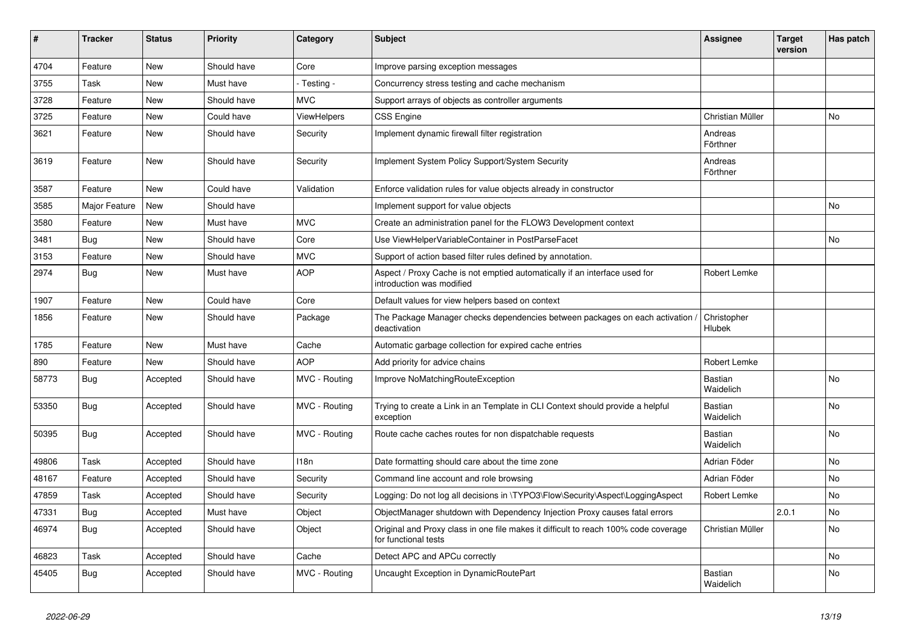| ∦     | <b>Tracker</b> | <b>Status</b> | <b>Priority</b> | Category      | <b>Subject</b>                                                                                              | Assignee                    | Target<br>version | Has patch      |
|-------|----------------|---------------|-----------------|---------------|-------------------------------------------------------------------------------------------------------------|-----------------------------|-------------------|----------------|
| 4704  | Feature        | New           | Should have     | Core          | Improve parsing exception messages                                                                          |                             |                   |                |
| 3755  | Task           | New           | Must have       | - Testing -   | Concurrency stress testing and cache mechanism                                                              |                             |                   |                |
| 3728  | Feature        | New           | Should have     | <b>MVC</b>    | Support arrays of objects as controller arguments                                                           |                             |                   |                |
| 3725  | Feature        | New           | Could have      | ViewHelpers   | <b>CSS Engine</b>                                                                                           | Christian Müller            |                   | No             |
| 3621  | Feature        | New           | Should have     | Security      | Implement dynamic firewall filter registration                                                              | Andreas<br>Förthner         |                   |                |
| 3619  | Feature        | New           | Should have     | Security      | Implement System Policy Support/System Security                                                             | Andreas<br>Förthner         |                   |                |
| 3587  | Feature        | <b>New</b>    | Could have      | Validation    | Enforce validation rules for value objects already in constructor                                           |                             |                   |                |
| 3585  | Major Feature  | New           | Should have     |               | Implement support for value objects                                                                         |                             |                   | <b>No</b>      |
| 3580  | Feature        | New           | Must have       | <b>MVC</b>    | Create an administration panel for the FLOW3 Development context                                            |                             |                   |                |
| 3481  | <b>Bug</b>     | New           | Should have     | Core          | Use ViewHelperVariableContainer in PostParseFacet                                                           |                             |                   | <b>No</b>      |
| 3153  | Feature        | New           | Should have     | <b>MVC</b>    | Support of action based filter rules defined by annotation.                                                 |                             |                   |                |
| 2974  | <b>Bug</b>     | <b>New</b>    | Must have       | <b>AOP</b>    | Aspect / Proxy Cache is not emptied automatically if an interface used for<br>introduction was modified     | Robert Lemke                |                   |                |
| 1907  | Feature        | New           | Could have      | Core          | Default values for view helpers based on context                                                            |                             |                   |                |
| 1856  | Feature        | New           | Should have     | Package       | The Package Manager checks dependencies between packages on each activation $\overline{\ }$<br>deactivation | Christopher<br>Hlubek       |                   |                |
| 1785  | Feature        | New           | Must have       | Cache         | Automatic garbage collection for expired cache entries                                                      |                             |                   |                |
| 890   | Feature        | New           | Should have     | <b>AOP</b>    | Add priority for advice chains                                                                              | Robert Lemke                |                   |                |
| 58773 | <b>Bug</b>     | Accepted      | Should have     | MVC - Routing | Improve NoMatchingRouteException                                                                            | Bastian<br>Waidelich        |                   | <b>No</b>      |
| 53350 | <b>Bug</b>     | Accepted      | Should have     | MVC - Routing | Trying to create a Link in an Template in CLI Context should provide a helpful<br>exception                 | <b>Bastian</b><br>Waidelich |                   | No             |
| 50395 | <b>Bug</b>     | Accepted      | Should have     | MVC - Routing | Route cache caches routes for non dispatchable requests                                                     | <b>Bastian</b><br>Waidelich |                   | No             |
| 49806 | Task           | Accepted      | Should have     | 118n          | Date formatting should care about the time zone                                                             | Adrian Föder                |                   | <b>No</b>      |
| 48167 | Feature        | Accepted      | Should have     | Security      | Command line account and role browsing                                                                      | Adrian Föder                |                   | No             |
| 47859 | Task           | Accepted      | Should have     | Security      | Logging: Do not log all decisions in \TYPO3\Flow\Security\Aspect\LoggingAspect                              | Robert Lemke                |                   | N <sub>o</sub> |
| 47331 | <b>Bug</b>     | Accepted      | Must have       | Object        | ObjectManager shutdown with Dependency Injection Proxy causes fatal errors                                  |                             | 2.0.1             | No             |
| 46974 | Bug            | Accepted      | Should have     | Object        | Original and Proxy class in one file makes it difficult to reach 100% code coverage<br>for functional tests | Christian Müller            |                   | N <sub>o</sub> |
| 46823 | Task           | Accepted      | Should have     | Cache         | Detect APC and APCu correctly                                                                               |                             |                   | N <sub>o</sub> |
| 45405 | Bug            | Accepted      | Should have     | MVC - Routing | Uncaught Exception in DynamicRoutePart                                                                      | Bastian<br>Waidelich        |                   | N <sub>o</sub> |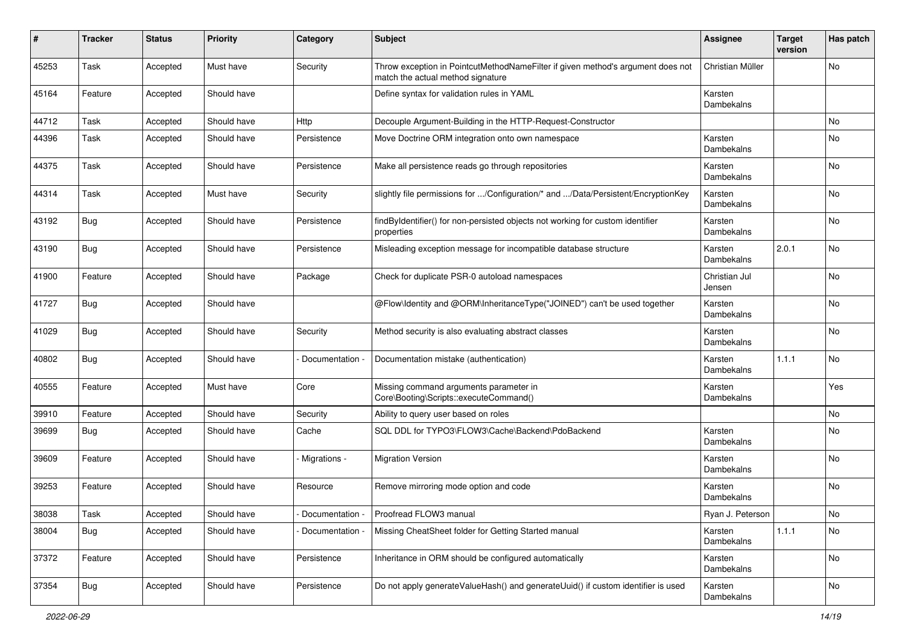| #     | <b>Tracker</b> | <b>Status</b> | <b>Priority</b> | Category        | <b>Subject</b>                                                                                                       | <b>Assignee</b>              | <b>Target</b><br>version | Has patch |
|-------|----------------|---------------|-----------------|-----------------|----------------------------------------------------------------------------------------------------------------------|------------------------------|--------------------------|-----------|
| 45253 | Task           | Accepted      | Must have       | Security        | Throw exception in PointcutMethodNameFilter if given method's argument does not<br>match the actual method signature | Christian Müller             |                          | No        |
| 45164 | Feature        | Accepted      | Should have     |                 | Define syntax for validation rules in YAML                                                                           | Karsten<br>Dambekalns        |                          |           |
| 44712 | Task           | Accepted      | Should have     | Http            | Decouple Argument-Building in the HTTP-Request-Constructor                                                           |                              |                          | No        |
| 44396 | Task           | Accepted      | Should have     | Persistence     | Move Doctrine ORM integration onto own namespace                                                                     | Karsten<br>Dambekalns        |                          | No        |
| 44375 | Task           | Accepted      | Should have     | Persistence     | Make all persistence reads go through repositories                                                                   | Karsten<br>Dambekalns        |                          | No        |
| 44314 | Task           | Accepted      | Must have       | Security        | slightly file permissions for /Configuration/* and /Data/Persistent/EncryptionKey                                    | Karsten<br>Dambekalns        |                          | No        |
| 43192 | <b>Bug</b>     | Accepted      | Should have     | Persistence     | findByIdentifier() for non-persisted objects not working for custom identifier<br>properties                         | Karsten<br>Dambekalns        |                          | No        |
| 43190 | <b>Bug</b>     | Accepted      | Should have     | Persistence     | Misleading exception message for incompatible database structure                                                     | Karsten<br>Dambekalns        | 2.0.1                    | No        |
| 41900 | Feature        | Accepted      | Should have     | Package         | Check for duplicate PSR-0 autoload namespaces                                                                        | Christian Jul<br>Jensen      |                          | No.       |
| 41727 | <b>Bug</b>     | Accepted      | Should have     |                 | @Flow\Identity and @ORM\InheritanceType("JOINED") can't be used together                                             | Karsten<br>Dambekalns        |                          | No.       |
| 41029 | <b>Bug</b>     | Accepted      | Should have     | Security        | Method security is also evaluating abstract classes                                                                  | Karsten<br>Dambekalns        |                          | No.       |
| 40802 | <b>Bug</b>     | Accepted      | Should have     | Documentation   | Documentation mistake (authentication)                                                                               | Karsten<br>Dambekalns        | 1.1.1                    | No.       |
| 40555 | Feature        | Accepted      | Must have       | Core            | Missing command arguments parameter in<br>Core\Booting\Scripts::executeCommand()                                     | Karsten<br>Dambekalns        |                          | Yes       |
| 39910 | Feature        | Accepted      | Should have     | Security        | Ability to query user based on roles                                                                                 |                              |                          | No        |
| 39699 | <b>Bug</b>     | Accepted      | Should have     | Cache           | SQL DDL for TYPO3\FLOW3\Cache\Backend\PdoBackend                                                                     | Karsten<br>Dambekalns        |                          | No        |
| 39609 | Feature        | Accepted      | Should have     | Migrations -    | <b>Migration Version</b>                                                                                             | Karsten<br><b>Dambekalns</b> |                          | No        |
| 39253 | Feature        | Accepted      | Should have     | Resource        | Remove mirroring mode option and code                                                                                | Karsten<br>Dambekalns        |                          | No        |
| 38038 | $\vert$ Task   | Accepted      | Should have     | Documentation - | Proofread FLOW3 manual                                                                                               | Ryan J. Peterson             |                          | No.       |
| 38004 | <b>Bug</b>     | Accepted      | Should have     | Documentation - | Missing CheatSheet folder for Getting Started manual                                                                 | Karsten<br>Dambekalns        | 1.1.1                    | No        |
| 37372 | Feature        | Accepted      | Should have     | Persistence     | Inheritance in ORM should be configured automatically                                                                | Karsten<br>Dambekalns        |                          | No        |
| 37354 | <b>Bug</b>     | Accepted      | Should have     | Persistence     | Do not apply generateValueHash() and generateUuid() if custom identifier is used                                     | Karsten<br>Dambekalns        |                          | No        |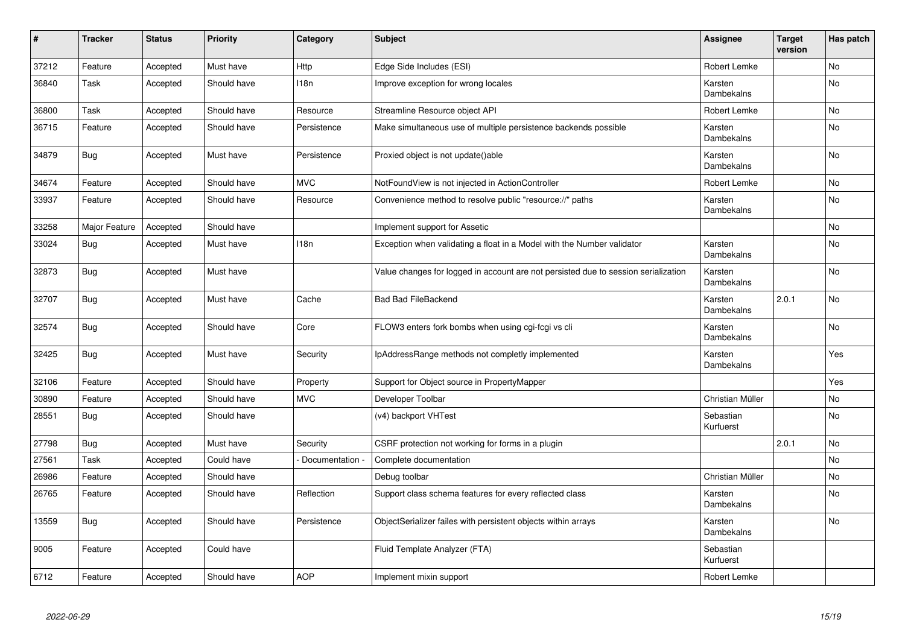| #     | <b>Tracker</b> | <b>Status</b> | <b>Priority</b> | Category         | <b>Subject</b>                                                                     | Assignee               | <b>Target</b><br>version | Has patch      |
|-------|----------------|---------------|-----------------|------------------|------------------------------------------------------------------------------------|------------------------|--------------------------|----------------|
| 37212 | Feature        | Accepted      | Must have       | Http             | Edge Side Includes (ESI)                                                           | Robert Lemke           |                          | N <sub>o</sub> |
| 36840 | Task           | Accepted      | Should have     | 118n             | Improve exception for wrong locales                                                | Karsten<br>Dambekalns  |                          | No             |
| 36800 | Task           | Accepted      | Should have     | Resource         | Streamline Resource object API                                                     | Robert Lemke           |                          | No             |
| 36715 | Feature        | Accepted      | Should have     | Persistence      | Make simultaneous use of multiple persistence backends possible                    | Karsten<br>Dambekalns  |                          | No             |
| 34879 | <b>Bug</b>     | Accepted      | Must have       | Persistence      | Proxied object is not update()able                                                 | Karsten<br>Dambekalns  |                          | No             |
| 34674 | Feature        | Accepted      | Should have     | <b>MVC</b>       | NotFoundView is not injected in ActionController                                   | Robert Lemke           |                          | No             |
| 33937 | Feature        | Accepted      | Should have     | Resource         | Convenience method to resolve public "resource://" paths                           | Karsten<br>Dambekalns  |                          | No             |
| 33258 | Major Feature  | Accepted      | Should have     |                  | Implement support for Assetic                                                      |                        |                          | No             |
| 33024 | <b>Bug</b>     | Accepted      | Must have       | 118 <sub>n</sub> | Exception when validating a float in a Model with the Number validator             | Karsten<br>Dambekalns  |                          | No             |
| 32873 | <b>Bug</b>     | Accepted      | Must have       |                  | Value changes for logged in account are not persisted due to session serialization | Karsten<br>Dambekalns  |                          | No             |
| 32707 | Bug            | Accepted      | Must have       | Cache            | <b>Bad Bad FileBackend</b>                                                         | Karsten<br>Dambekalns  | 2.0.1                    | No             |
| 32574 | <b>Bug</b>     | Accepted      | Should have     | Core             | FLOW3 enters fork bombs when using cgi-fcgi vs cli                                 | Karsten<br>Dambekalns  |                          | N <sub>o</sub> |
| 32425 | Bug            | Accepted      | Must have       | Security         | IpAddressRange methods not completly implemented                                   | Karsten<br>Dambekalns  |                          | Yes            |
| 32106 | Feature        | Accepted      | Should have     | Property         | Support for Object source in PropertyMapper                                        |                        |                          | Yes            |
| 30890 | Feature        | Accepted      | Should have     | <b>MVC</b>       | Developer Toolbar                                                                  | Christian Müller       |                          | No             |
| 28551 | <b>Bug</b>     | Accepted      | Should have     |                  | (v4) backport VHTest                                                               | Sebastian<br>Kurfuerst |                          | No             |
| 27798 | Bug            | Accepted      | Must have       | Security         | CSRF protection not working for forms in a plugin                                  |                        | 2.0.1                    | No             |
| 27561 | Task           | Accepted      | Could have      | Documentation    | Complete documentation                                                             |                        |                          | No             |
| 26986 | Feature        | Accepted      | Should have     |                  | Debug toolbar                                                                      | Christian Müller       |                          | No             |
| 26765 | Feature        | Accepted      | Should have     | Reflection       | Support class schema features for every reflected class                            | Karsten<br>Dambekalns  |                          | No             |
| 13559 | Bug            | Accepted      | Should have     | Persistence      | ObjectSerializer failes with persistent objects within arrays                      | Karsten<br>Dambekalns  |                          | No             |
| 9005  | Feature        | Accepted      | Could have      |                  | Fluid Template Analyzer (FTA)                                                      | Sebastian<br>Kurfuerst |                          |                |
| 6712  | Feature        | Accepted      | Should have     | <b>AOP</b>       | Implement mixin support                                                            | Robert Lemke           |                          |                |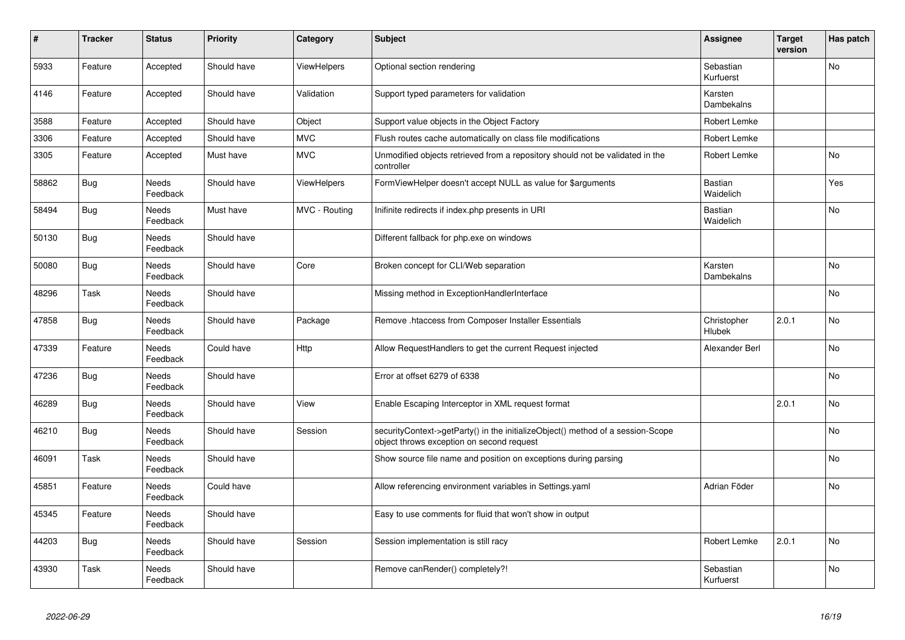| ∦     | <b>Tracker</b> | <b>Status</b>            | <b>Priority</b> | Category           | <b>Subject</b>                                                                                                               | <b>Assignee</b>             | <b>Target</b><br>version | Has patch      |
|-------|----------------|--------------------------|-----------------|--------------------|------------------------------------------------------------------------------------------------------------------------------|-----------------------------|--------------------------|----------------|
| 5933  | Feature        | Accepted                 | Should have     | ViewHelpers        | Optional section rendering                                                                                                   | Sebastian<br>Kurfuerst      |                          | No             |
| 4146  | Feature        | Accepted                 | Should have     | Validation         | Support typed parameters for validation                                                                                      | Karsten<br>Dambekalns       |                          |                |
| 3588  | Feature        | Accepted                 | Should have     | Object             | Support value objects in the Object Factory                                                                                  | Robert Lemke                |                          |                |
| 3306  | Feature        | Accepted                 | Should have     | <b>MVC</b>         | Flush routes cache automatically on class file modifications                                                                 | Robert Lemke                |                          |                |
| 3305  | Feature        | Accepted                 | Must have       | <b>MVC</b>         | Unmodified objects retrieved from a repository should not be validated in the<br>controller                                  | <b>Robert Lemke</b>         |                          | <b>No</b>      |
| 58862 | <b>Bug</b>     | <b>Needs</b><br>Feedback | Should have     | <b>ViewHelpers</b> | FormViewHelper doesn't accept NULL as value for \$arguments                                                                  | <b>Bastian</b><br>Waidelich |                          | Yes            |
| 58494 | <b>Bug</b>     | Needs<br>Feedback        | Must have       | MVC - Routing      | Inifinite redirects if index.php presents in URI                                                                             | <b>Bastian</b><br>Waidelich |                          | No             |
| 50130 | <b>Bug</b>     | Needs<br>Feedback        | Should have     |                    | Different fallback for php.exe on windows                                                                                    |                             |                          |                |
| 50080 | <b>Bug</b>     | <b>Needs</b><br>Feedback | Should have     | Core               | Broken concept for CLI/Web separation                                                                                        | Karsten<br>Dambekalns       |                          | <b>No</b>      |
| 48296 | Task           | Needs<br>Feedback        | Should have     |                    | Missing method in ExceptionHandlerInterface                                                                                  |                             |                          | No             |
| 47858 | <b>Bug</b>     | Needs<br>Feedback        | Should have     | Package            | Remove .htaccess from Composer Installer Essentials                                                                          | Christopher<br>Hlubek       | 2.0.1                    | N <sub>o</sub> |
| 47339 | Feature        | Needs<br>Feedback        | Could have      | Http               | Allow RequestHandlers to get the current Request injected                                                                    | Alexander Berl              |                          | No             |
| 47236 | <b>Bug</b>     | Needs<br>Feedback        | Should have     |                    | Error at offset 6279 of 6338                                                                                                 |                             |                          | No             |
| 46289 | Bug            | Needs<br>Feedback        | Should have     | View               | Enable Escaping Interceptor in XML request format                                                                            |                             | 2.0.1                    | <b>No</b>      |
| 46210 | Bug            | Needs<br>Feedback        | Should have     | Session            | securityContext->getParty() in the initializeObject() method of a session-Scope<br>object throws exception on second request |                             |                          | <b>No</b>      |
| 46091 | Task           | Needs<br>Feedback        | Should have     |                    | Show source file name and position on exceptions during parsing                                                              |                             |                          | <b>No</b>      |
| 45851 | Feature        | Needs<br>Feedback        | Could have      |                    | Allow referencing environment variables in Settings.yaml                                                                     | Adrian Föder                |                          | <b>No</b>      |
| 45345 | Feature        | <b>Needs</b><br>Feedback | Should have     |                    | Easy to use comments for fluid that won't show in output                                                                     |                             |                          |                |
| 44203 | Bug            | Needs<br>Feedback        | Should have     | Session            | Session implementation is still racy                                                                                         | Robert Lemke                | 2.0.1                    | No             |
| 43930 | Task           | Needs<br>Feedback        | Should have     |                    | Remove canRender() completely?!                                                                                              | Sebastian<br>Kurfuerst      |                          | <b>No</b>      |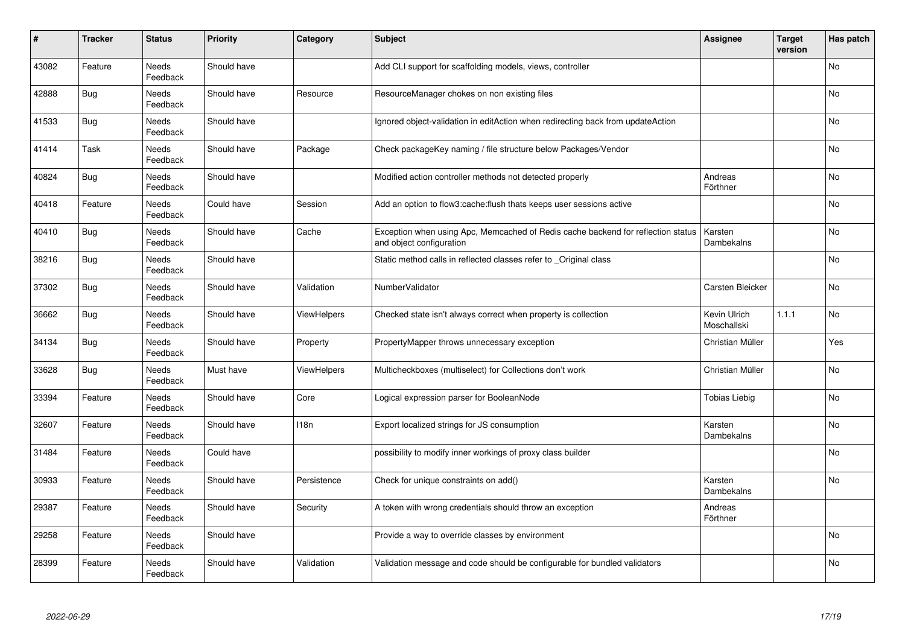| $\vert$ # | <b>Tracker</b> | <b>Status</b>            | <b>Priority</b> | Category           | <b>Subject</b>                                                                                               | <b>Assignee</b>             | <b>Target</b><br>version | Has patch |
|-----------|----------------|--------------------------|-----------------|--------------------|--------------------------------------------------------------------------------------------------------------|-----------------------------|--------------------------|-----------|
| 43082     | Feature        | Needs<br>Feedback        | Should have     |                    | Add CLI support for scaffolding models, views, controller                                                    |                             |                          | <b>No</b> |
| 42888     | <b>Bug</b>     | Needs<br>Feedback        | Should have     | Resource           | ResourceManager chokes on non existing files                                                                 |                             |                          | <b>No</b> |
| 41533     | <b>Bug</b>     | Needs<br>Feedback        | Should have     |                    | Ignored object-validation in editAction when redirecting back from updateAction                              |                             |                          | No        |
| 41414     | Task           | Needs<br>Feedback        | Should have     | Package            | Check packageKey naming / file structure below Packages/Vendor                                               |                             |                          | <b>No</b> |
| 40824     | <b>Bug</b>     | <b>Needs</b><br>Feedback | Should have     |                    | Modified action controller methods not detected properly                                                     | Andreas<br>Förthner         |                          | <b>No</b> |
| 40418     | Feature        | Needs<br>Feedback        | Could have      | Session            | Add an option to flow3:cache:flush thats keeps user sessions active                                          |                             |                          | No        |
| 40410     | Bug            | Needs<br>Feedback        | Should have     | Cache              | Exception when using Apc, Memcached of Redis cache backend for reflection status<br>and object configuration | Karsten<br>Dambekalns       |                          | <b>No</b> |
| 38216     | Bug            | Needs<br>Feedback        | Should have     |                    | Static method calls in reflected classes refer to Original class                                             |                             |                          | <b>No</b> |
| 37302     | <b>Bug</b>     | Needs<br>Feedback        | Should have     | Validation         | NumberValidator                                                                                              | Carsten Bleicker            |                          | No        |
| 36662     | Bug            | Needs<br>Feedback        | Should have     | <b>ViewHelpers</b> | Checked state isn't always correct when property is collection                                               | Kevin Ulrich<br>Moschallski | 1.1.1                    | <b>No</b> |
| 34134     | Bug            | Needs<br>Feedback        | Should have     | Property           | PropertyMapper throws unnecessary exception                                                                  | Christian Müller            |                          | Yes       |
| 33628     | <b>Bug</b>     | Needs<br>Feedback        | Must have       | <b>ViewHelpers</b> | Multicheckboxes (multiselect) for Collections don't work                                                     | Christian Müller            |                          | No        |
| 33394     | Feature        | Needs<br>Feedback        | Should have     | Core               | Logical expression parser for BooleanNode                                                                    | <b>Tobias Liebig</b>        |                          | No        |
| 32607     | Feature        | Needs<br>Feedback        | Should have     | 118n               | Export localized strings for JS consumption                                                                  | Karsten<br>Dambekalns       |                          | No        |
| 31484     | Feature        | Needs<br>Feedback        | Could have      |                    | possibility to modify inner workings of proxy class builder                                                  |                             |                          | No        |
| 30933     | Feature        | Needs<br>Feedback        | Should have     | Persistence        | Check for unique constraints on add()                                                                        | Karsten<br>Dambekalns       |                          | <b>No</b> |
| 29387     | Feature        | Needs<br>Feedback        | Should have     | Security           | A token with wrong credentials should throw an exception                                                     | Andreas<br>Förthner         |                          |           |
| 29258     | Feature        | Needs<br>Feedback        | Should have     |                    | Provide a way to override classes by environment                                                             |                             |                          | No        |
| 28399     | Feature        | Needs<br>Feedback        | Should have     | Validation         | Validation message and code should be configurable for bundled validators                                    |                             |                          | <b>No</b> |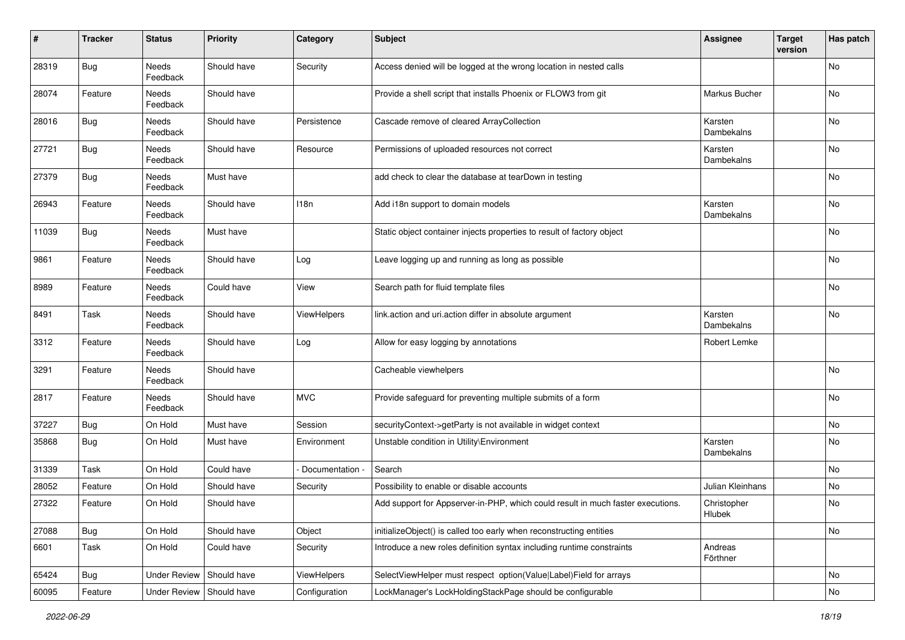| #     | <b>Tracker</b> | <b>Status</b>       | <b>Priority</b> | Category      | <b>Subject</b>                                                                  | <b>Assignee</b>              | <b>Target</b><br>version | Has patch |
|-------|----------------|---------------------|-----------------|---------------|---------------------------------------------------------------------------------|------------------------------|--------------------------|-----------|
| 28319 | <b>Bug</b>     | Needs<br>Feedback   | Should have     | Security      | Access denied will be logged at the wrong location in nested calls              |                              |                          | No        |
| 28074 | Feature        | Needs<br>Feedback   | Should have     |               | Provide a shell script that installs Phoenix or FLOW3 from git                  | Markus Bucher                |                          | No        |
| 28016 | <b>Bug</b>     | Needs<br>Feedback   | Should have     | Persistence   | Cascade remove of cleared ArrayCollection                                       | Karsten<br>Dambekalns        |                          | No        |
| 27721 | Bug            | Needs<br>Feedback   | Should have     | Resource      | Permissions of uploaded resources not correct                                   | Karsten<br>Dambekalns        |                          | No        |
| 27379 | <b>Bug</b>     | Needs<br>Feedback   | Must have       |               | add check to clear the database at tearDown in testing                          |                              |                          | No        |
| 26943 | Feature        | Needs<br>Feedback   | Should have     | 118n          | Add i18n support to domain models                                               | Karsten<br>Dambekalns        |                          | No        |
| 11039 | Bug            | Needs<br>Feedback   | Must have       |               | Static object container injects properties to result of factory object          |                              |                          | No        |
| 9861  | Feature        | Needs<br>Feedback   | Should have     | Log           | Leave logging up and running as long as possible                                |                              |                          | No        |
| 8989  | Feature        | Needs<br>Feedback   | Could have      | View          | Search path for fluid template files                                            |                              |                          | No        |
| 8491  | Task           | Needs<br>Feedback   | Should have     | ViewHelpers   | link.action and uri.action differ in absolute argument                          | Karsten<br>Dambekalns        |                          | No        |
| 3312  | Feature        | Needs<br>Feedback   | Should have     | Log           | Allow for easy logging by annotations                                           | Robert Lemke                 |                          |           |
| 3291  | Feature        | Needs<br>Feedback   | Should have     |               | Cacheable viewhelpers                                                           |                              |                          | No        |
| 2817  | Feature        | Needs<br>Feedback   | Should have     | <b>MVC</b>    | Provide safeguard for preventing multiple submits of a form                     |                              |                          | No        |
| 37227 | Bug            | On Hold             | Must have       | Session       | securityContext->getParty is not available in widget context                    |                              |                          | No        |
| 35868 | <b>Bug</b>     | On Hold             | Must have       | Environment   | Unstable condition in Utility\Environment                                       | Karsten<br>Dambekalns        |                          | No        |
| 31339 | Task           | On Hold             | Could have      | Documentation | Search                                                                          |                              |                          | No        |
| 28052 | Feature        | On Hold             | Should have     | Security      | Possibility to enable or disable accounts                                       | <b>Julian Kleinhans</b>      |                          | No        |
| 27322 | Feature        | On Hold             | Should have     |               | Add support for Appserver-in-PHP, which could result in much faster executions. | Christopher<br><b>Hlubek</b> |                          | No        |
| 27088 | <b>Bug</b>     | On Hold             | Should have     | Object        | initializeObject() is called too early when reconstructing entities             |                              |                          | No        |
| 6601  | Task           | On Hold             | Could have      | Security      | Introduce a new roles definition syntax including runtime constraints           | Andreas<br>Förthner          |                          |           |
| 65424 | <b>Bug</b>     | <b>Under Review</b> | Should have     | ViewHelpers   | SelectViewHelper must respect option(Value Label)Field for arrays               |                              |                          | No        |
| 60095 | Feature        | <b>Under Review</b> | Should have     | Configuration | LockManager's LockHoldingStackPage should be configurable                       |                              |                          | No        |